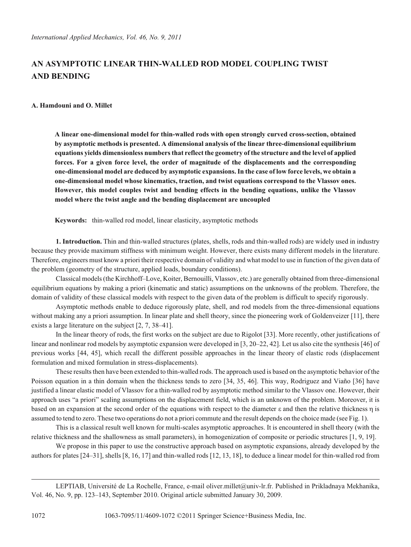## **AN ASYMPTOTIC LINEAR THIN-WALLED ROD MODEL COUPLING TWIST AND BENDING**

## **A. Hamdouni and O. Millet**

**A linear one-dimensional model for thin-walled rods with open strongly curved cross-section, obtained by asymptotic methods is presented. A dimensional analysis of the linear three-dimensional equilibrium equations yields dimensionless numbers that reflect the geometry of the structure and the level of applied forces. For a given force level, the order of magnitude of the displacements and the corresponding one-dimensional model are deduced by asymptotic expansions. In the case of low force levels, we obtain a one-dimensional model whose kinematics, traction, and twist equations correspond to the Vlassov ones. However, this model couples twist and bending effects in the bending equations, unlike the Vlassov model where the twist angle and the bending displacement are uncoupled**

**Keywords:** thin-walled rod model, linear elasticity, asymptotic methods

**1. Introduction.** Thin and thin-walled structures (plates, shells, rods and thin-walled rods) are widely used in industry because they provide maximum stiffness with minimum weight. However, there exists many different models in the literature. Therefore, engineers must know a priori their respective domain of validity and what model to use in function of the given data of the problem (geometry of the structure, applied loads, boundary conditions).

Classical models (the Kirchhoff–Love, Koiter, Bernouilli, Vlassov, etc.) are generally obtained from three-dimensional equilibrium equations by making a priori (kinematic and static) assumptions on the unknowns of the problem. Therefore, the domain of validity of these classical models with respect to the given data of the problem is difficult to specify rigorously.

Asymptotic methods enable to deduce rigorously plate, shell, and rod models from the three-dimensional equations without making any a priori assumption. In linear plate and shell theory, since the pioneering work of Goldenveizer [11], there exists a large literature on the subject [2, 7, 38–41].

In the linear theory of rods, the first works on the subject are due to Rigolot [33]. More recently, other justifications of linear and nonlinear rod models by asymptotic expansion were developed in [3, 20–22, 42]. Let us also cite the synthesis [46] of previous works [44, 45], which recall the different possible approaches in the linear theory of elastic rods (displacement formulation and mixed formulation in stress-displacements).

These results then have been extended to thin-walled rods. The approach used is based on the asymptotic behavior of the Poisson equation in a thin domain when the thickness tends to zero [34, 35, 46]. This way, Rodriguez and Viaño [36] have justified a linear elastic model of Vlassov for a thin-walled rod by asymptotic method similar to the Vlassov one. However, their approach uses "a priori" scaling assumptions on the displacement field, which is an unknown of the problem. Moreover, it is based on an expansion at the second order of the equations with respect to the diameter  $\varepsilon$  and then the relative thickness  $\eta$  is assumed to tend to zero. These two operations do not a priori commute and the result depends on the choice made (see Fig. 1).

This is a classical result well known for multi-scales asymptotic approaches. It is encountered in shell theory (with the relative thickness and the shallowness as small parameters), in homogenization of composite or periodic structures [1, 9, 19].

We propose in this paper to use the constructive approach based on asymptotic expansions, already developed by the authors for plates [24–31], shells [8, 16, 17] and thin-walled rods [12, 13, 18], to deduce a linear model for thin-walled rod from

LEPTIAB, Université de La Rochelle, France, e-mail oliver.millet@univ-lr.fr. Published in Prikladnaya Mekhanika, Vol. 46, No. 9, pp. 123–143, September 2010. Original article submitted January 30, 2009.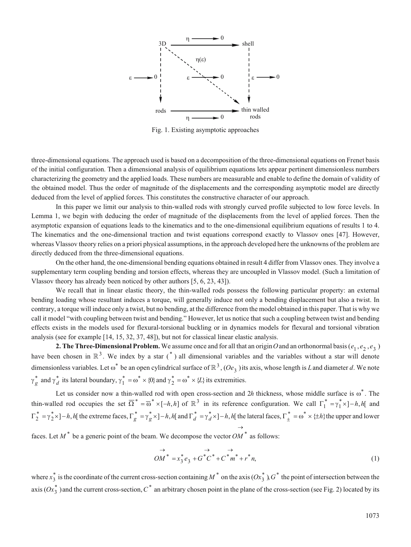

Fig. 1. Existing asymptotic approaches

three-dimensional equations. The approach used is based on a decomposition of the three-dimensional equations on Frenet basis of the initial configuration. Then a dimensional analysis of equilibrium equations lets appear pertinent dimensionless numbers characterizing the geometry and the applied loads. These numbers are measurable and enable to define the domain of validity of the obtained model. Thus the order of magnitude of the displacements and the corresponding asymptotic model are directly deduced from the level of applied forces. This constitutes the constructive character of our approach.

In this paper we limit our analysis to thin-walled rods with strongly curved profile subjected to low force levels. In Lemma 1, we begin with deducing the order of magnitude of the displacements from the level of applied forces. Then the asymptotic expansion of equations leads to the kinematics and to the one-dimensional equilibrium equations of results 1 to 4. The kinematics and the one-dimensional traction and twist equations correspond exactly to Vlassov ones [47]. However, whereas Vlassov theory relies on a priori physical assumptions, in the approach developed here the unknowns of the problem are directly deduced from the three-dimensional equations.

On the other hand, the one-dimensional bending equations obtained in result 4 differ from Vlassov ones. They involve a supplementary term coupling bending and torsion effects, whereas they are uncoupled in Vlassov model. (Such a limitation of Vlassov theory has already been noticed by other authors [5, 6, 23, 43]).

We recall that in linear elastic theory, the thin-walled rods possess the following particular property: an external bending loading whose resultant induces a torque, will generally induce not only a bending displacement but also a twist. In contrary, a torque will induce only a twist, but no bending, at the difference from the model obtained in this paper. That is why we call it model "with coupling between twist and bending." However, let us notice that such a coupling between twist and bending effects exists in the models used for flexural-torsional buckling or in dynamics models for flexural and torsional vibration analysis (see for example [14, 15, 32, 37, 48]), but not for classical linear elastic analysis.

**2. The Three-Dimensional Problem.** We assume once and for all that an origin O and an orthonormal basis ( $e_1, e_2, e_3$ ) have been chosen in  $\mathbb{R}^3$ . We index by a star (\*) all dimensional variables and the variables without a star will denote dimensionless variables. Let  $\omega^*$  be an open cylindrical surface of  $\mathbb{R}^3$ ,  $(Oe_3)$  its axis, whose length is *L* and diameter *d*. We note  $\gamma_g^*$  and  $\gamma_d^*$  its lateral boundary,  $\gamma_1^* = \omega^* \times \{0\}$  and  $\gamma_2^* = \omega^* \times \{L\}$  its extremities.

Let us consider now a thin-walled rod with open cross-section and  $2h$  thickness, whose middle surface is  $\omega^*$ . The thin-walled rod occupies the set  $\overline{\Omega}^* = \overline{\omega}^* \times [-h, h]$  of  $\mathbb{R}^3$  in its reference configuration. We call  $\Gamma_1^* = \gamma_1^* \times [-h, h]$  and  $\Gamma_2^* = \gamma_2^* \times (-h, h]$  the extreme faces,  $\Gamma_g^* = \gamma_g^* \times (-h, h]$  and  $\Gamma_d^* = \gamma_d^* \times (-h, h]$  the lateral faces,  $\Gamma_{\pm}^* = \omega^* \times \{\pm h\}$  the upper and lower  $\rightarrow$ 

faces. Let  $M^*$  be a generic point of the beam. We decompose the vector  $OM^*$  as follows:

$$
\overrightarrow{OM}^* = x_3^* e_3 + \overrightarrow{G}^* C^* + \overrightarrow{C}^* m^* + r^* n,
$$
\n<sup>(1)</sup>

where  $x_3^*$  is the coordinate of the current cross-section containing  $M^*$  on the axis  $(Ox_3^*)$ ,  $G^*$  the point of intersection between the axis  $(Ox_3^*)$  and the current cross-section,  $C^*$  an arbitrary chosen point in the plane of the cross-section (see Fig. 2) located by its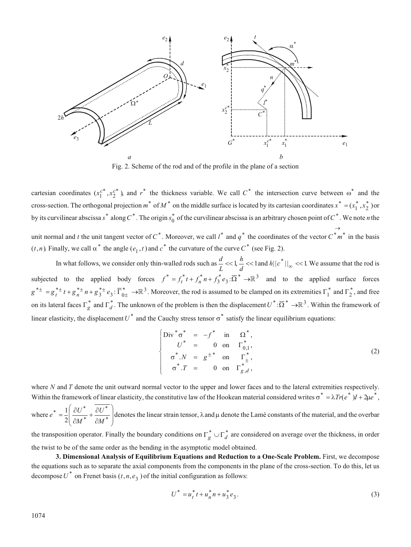

Fig. 2. Scheme of the rod and of the profile in the plane of a section

cartesian coordinates  $(x_1^{c^*}, x_2^{c^*})$ , and  $r^*$  the thickness variable. We call  $C^*$  the intersection curve between  $\omega^*$  and the cross-section. The orthogonal projection  $m^*$  of  $M^*$  on the middle surface is located by its cartesian coordinates  $x^* = (x_1^*, x_2^*)$  or by its curvilinear abscissa  $s^*$  along  $C^*$ . The origin  $s_0^*$  of the curvilinear abscissa is an arbitrary chosen point of  $C^*$ . We note *n* the unit normal and *t* the unit tangent vector of  $C^*$ . Moreover, we call  $l^*$  and  $q^*$  the coordinates of the vector  $C^*m^*$  $\rightarrow$ in the basis  $(t, n)$ . Finally, we call  $\alpha^*$  the angle  $(e_1, t)$  and  $c^*$  the curvature of the curve  $C^*$  (see Fig. 2).

In what follows, we consider only thin-walled rods such as  $\frac{d}{dx}$ *L*  $<< 1, \frac{h}{h}$  $\frac{n}{d}$  << 1 and *h*||  $c^*$  ||<sub>∞</sub> << 1. We assume that the rod is subjected to the applied body forces  $f^* = f_t^* t + f_n^* n + f_3^* e_3$ :  $\overline{\Omega}^* \to \mathbb{R}^3$  and to the applied surface forces  $g^{* \pm} = g_t^{* \pm} t + g_n^{* \pm} n + g_3^{* \pm} e_3$ :  $\overline{\Gamma}_{0 \pm}^* \rightarrow \mathbb{R}^3$ . Moreover, the rod is assumed to be clamped on its extremities  $\Gamma_1^*$  and  $\Gamma_2^*$ , and free on its lateral faces  $\Gamma_g^*$  and  $\Gamma_d^*$ . The unknown of the problem is then the displacement  $U^*:\overline{\Omega}^* \to \mathbb{R}^3$ . Within the framework of linear elasticity, the displacement  $U^*$  and the Cauchy stress tensor  $\sigma^*$  satisfy the linear equilibrium equations:

$$
\begin{cases}\n\text{Div}^* \sigma^* = -f^* \quad \text{in} \quad \Omega^*, \\
U^* = 0 \quad \text{on} \quad \Gamma^*_{0,1}, \\
\sigma^*.N = g^{\pm^*} \quad \text{on} \quad \Gamma^*_{\pm}, \\
\sigma^*.T = 0 \quad \text{on} \quad \Gamma^*_{g,d},\n\end{cases}
$$
\n(2)

where *N* and *T* denote the unit outward normal vector to the upper and lower faces and to the lateral extremities respectively. Within the framework of linear elasticity, the constitutive law of the Hookean material considered writes  $\sigma^* = \lambda Tr(e^*)I + 2\mu e^*$ ,

where  $e^* = \frac{1}{2} \left| \frac{\partial U}{\partial x} \right|$ *M U M*  $\sqrt{a^*}$   $\frac{1}{2}$   $\frac{\partial U^*}{\partial U^*}$ \*  $=\frac{1}{2}\left(\frac{\partial U^*}{\partial M^*}+\frac{\partial U^*}{\partial M^*}\right)$  $+\frac{\partial}{\partial x}$  $\partial$ ĺ l L I  $\backslash$ J  $\overline{\phantom{a}}$ I  $\frac{1}{2} \left( \frac{\partial U^*}{\partial M^*} + \frac{\partial U^*}{\partial M^*} \right)$  denotes the linear strain tensor,  $\lambda$  and  $\mu$  denote the Lamé constants of the material, and the overbar

the transposition operator. Finally the boundary conditions on  $\Gamma_g^* \cup \Gamma_d^*$  are considered on average over the thickness, in order the twist to be of the same order as the bending in the asymptotic model obtained.

**3. Dimensional Analysis of Equilibrium Equations and Reduction to a One-Scale Problem.** First, we decompose the equations such as to separate the axial components from the components in the plane of the cross-section. To do this, let us decompose  $U^*$  on Frenet basis  $(t, n, e_3)$  of the initial configuration as follows:

$$
U^* = u_t^* t + u_n^* n + u_3^* e_3.
$$
 (3)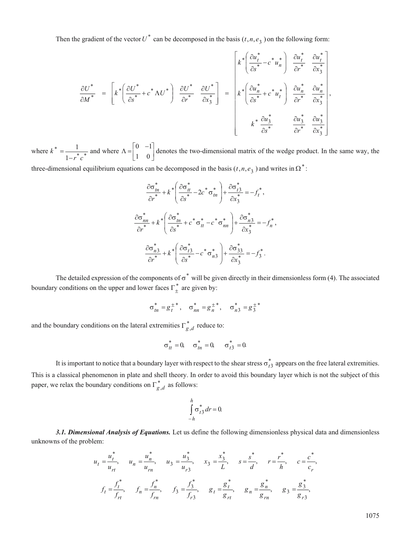Then the gradient of the vector  $U^*$  can be decomposed in the basis  $(t, n, e_3)$  on the following form:

$$
\frac{\partial U^*}{\partial M^*} = \left[k^* \left(\frac{\partial U^*}{\partial s^*} + c^* \Lambda U^*\right) \frac{\partial U^*}{\partial r^*} \frac{\partial U^*}{\partial x_3^*}\right] = \left[k^* \left(\frac{\partial u_n^*}{\partial s^*} - c^* u_n^*\right) \frac{\partial u_n^*}{\partial r^*} \frac{\partial u_n^*}{\partial x_3^*}\right],
$$
\n
$$
k^* \frac{\partial u_n^*}{\partial s^*} \frac{\partial u_n^*}{\partial r^*} \frac{\partial u_n^*}{\partial x_3^*}\right],
$$
\n
$$
k^* \frac{\partial u_3^*}{\partial s^*} \frac{\partial u_3^*}{\partial r^*} \frac{\partial u_3^*}{\partial x_3^*}\right],
$$

where *k r c* \* =  $\frac{1}{1-r^*c^*}$ 1 and where  $\Lambda = \begin{bmatrix} 0 & -1 \\ 1 & 0 \end{bmatrix}$ 1  $\overline{ }$  $\begin{bmatrix} 0 & -1 \\ 1 & 0 \end{bmatrix}$  denotes the two-dimensional matrix of the wedge product. In the same way, the

three-dimensional equilibrium equations can be decomposed in the basis  $(t, n, e_3)$  and writes in  $\Omega^*$ :

$$
\frac{\partial \sigma_m^*}{\partial r^*} + k^* \left( \frac{\partial \sigma_t^*}{\partial s^*} - 2c^* \sigma_m^* \right) + \frac{\partial \sigma_{t3}^*}{\partial x_3^*} = -f_t^*,
$$
\n
$$
\frac{\partial \sigma_{nn}^*}{\partial r^*} + k^* \left( \frac{\partial \sigma_{tn}^*}{\partial s^*} + c^* \sigma_{tt}^* - c^* \sigma_{nn}^* \right) + \frac{\partial \sigma_{n3}^*}{\partial x_3^*} = -f_n^*,
$$
\n
$$
\frac{\partial \sigma_{n3}^*}{\partial r^*} + k^* \left( \frac{\partial \sigma_{t3}^*}{\partial s^*} - c^* \sigma_{n3}^* \right) + \frac{\partial \sigma_{33}^*}{\partial x_3^*} = -f_3^*.
$$

The detailed expression of the components of  $\sigma^*$  will be given directly in their dimensionless form (4). The associated boundary conditions on the upper and lower faces  $\Gamma_{\pm}^{*}$  are given by:

$$
\sigma_{tn}^* = g_t^{\pm *} , \quad \sigma_{nn}^* = g_n^{\pm *} , \quad \sigma_{n3}^* = g_3^{\pm *}
$$

and the boundary conditions on the lateral extremities  $\Gamma_{g,d}^*$  reduce to:

$$
\sigma_{tt}^* = 0
$$
,  $\sigma_{tn}^* = 0$ ,  $\sigma_{t3}^* = 0$ .

It is important to notice that a boundary layer with respect to the shear stress  $\sigma_{t3}^*$  appears on the free lateral extremities. This is a classical phenomenon in plate and shell theory. In order to avoid this boundary layer which is not the subject of this paper, we relax the boundary conditions on  $\Gamma_{g,d}^*$  as follows:

$$
\int\limits_{-h}^{h} \sigma_{t3}^{*} dr = 0.
$$

*3.1. Dimensional Analysis of Equations.* Let us define the following dimensionless physical data and dimensionless unknowns of the problem:

$$
u_{t} = \frac{u_{t}^{*}}{u_{rt}}, \quad u_{n} = \frac{u_{n}^{*}}{u_{rn}}, \quad u_{3} = \frac{u_{3}^{*}}{u_{r3}}, \quad x_{3} = \frac{x_{3}^{*}}{L}, \quad s = \frac{s^{*}}{d}, \quad r = \frac{r^{*}}{h}, \quad c = \frac{c^{*}}{c_{r}},
$$

$$
f_{t} = \frac{f_{t}^{*}}{f_{rt}}, \quad f_{n} = \frac{f_{n}^{*}}{f_{rn}}, \quad f_{3} = \frac{f_{3}^{*}}{f_{r3}}, \quad g_{t} = \frac{g_{t}^{*}}{g_{rt}}, \quad g_{n} = \frac{g_{n}^{*}}{g_{rn}}, \quad g_{3} = \frac{g_{3}^{*}}{g_{r3}},
$$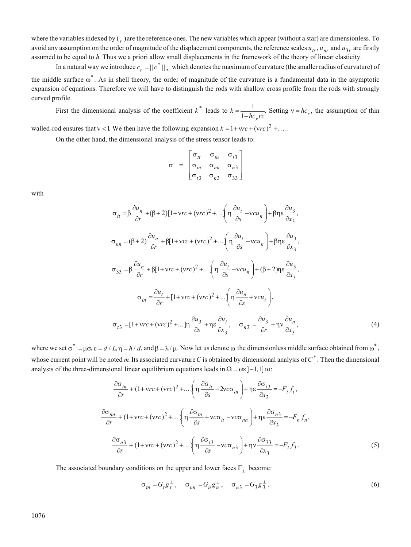where the variables indexed by  $\binom{r}{r}$  are the reference ones. The new variables which appear (without a star) are dimensionless. To avoid any assumption on the order of magnitude of the displacement components, the reference scales  $u_r$ ,  $u_{nr}$  and  $u_{3r}$  are firstly assumed to be equal to *h*. Thus we a priori allow small displacements in the framework of the theory of linear elasticity.

In a natural way we introduce  $c_r = ||c^*||_{\infty}$  which denotes the maximum of curvature (the smaller radius of curvature) of the middle surface  $\omega^*$ . As in shell theory, the order of magnitude of the curvature is a fundamental data in the asymptotic expansion of equations. Therefore we will have to distinguish the rods with shallow cross profile from the rods with strongly curved profile.

First the dimensional analysis of the coefficient  $k^*$  leads to  $k$  $=\frac{1}{1-hc_rrc}$ . Setting  $v = hc_r$ , the assumption of thin

walled-rod ensures that  $v < 1$ . We then have the following expansion  $k = 1 + vrc + (vcc)^2 + ...$ 

On the other hand, the dimensional analysis of the stress tensor leads to:

$$
\sigma = \begin{bmatrix}\n\sigma_{tt} & \sigma_{tn} & \sigma_{t3} \\
\sigma_{tn} & \sigma_{nn} & \sigma_{n3} \\
\sigma_{t3} & \sigma_{n3} & \sigma_{33}\n\end{bmatrix}
$$

with

$$
\sigma_{tt} = \beta \frac{\partial u_n}{\partial r} + (\beta + 2)[1 + \text{vrc} + (\text{vrc})^2 + \dots \left( \eta \frac{\partial u_t}{\partial s} - \text{vcu}_n \right) + \beta \eta \epsilon \frac{\partial u_3}{\partial x_3},
$$
  
\n
$$
\sigma_{nn} = (\beta + 2) \frac{\partial u_n}{\partial r} + \beta [1 + \text{vrc} + (\text{vrc})^2 + \dots \left( \eta \frac{\partial u_t}{\partial s} - \text{vcu}_n \right) + \beta \eta \epsilon \frac{\partial u_3}{\partial x_3},
$$
  
\n
$$
\sigma_{33} = \beta \frac{\partial u_n}{\partial r} + \beta [1 + \text{vrc} + (\text{vrc})^2 + \dots \left( \eta \frac{\partial u_t}{\partial s} - \text{vcu}_n \right) + (\beta + 2) \eta \epsilon \frac{\partial u_3}{\partial x_3},
$$
  
\n
$$
\sigma_{tn} = \frac{\partial u_t}{\partial r} + [1 + \text{vrc} + (\text{vrc})^2 + \dots \left( \eta \frac{\partial u_n}{\partial s} + \text{vcu}_t \right),
$$
  
\n
$$
\sigma_{t3} = [1 + \text{vrc} + (\text{vrc})^2 + \dots \left( \eta \frac{\partial u_3}{\partial s} + \eta \epsilon \frac{\partial u_t}{\partial x_3}, \sigma_{n3} = \frac{\partial u_3}{\partial r} + \eta \frac{\partial u_n}{\partial x_3}, \sigma_{n3} = \frac{\partial u_3}{\partial r} + \eta \frac{\partial u_n}{\partial x_3},
$$
  
\n(4)

where we set  $\sigma^* = \mu \sigma$ ,  $\epsilon = d / L$ ,  $\eta = h / d$ , and  $\beta = \lambda / \mu$ . Now let us denote  $\omega$  the dimensionless middle surface obtained from  $\omega^*$ , whose current point will be noted *m*. Its associated curvature*C* is obtained by dimensional analysis of*C*\* . Then the dimensional analysis of the three-dimensional linear equilibrium equations leads in  $\Omega = \omega \times ]-1$ , if to:

$$
\frac{\partial \sigma_{tn}}{\partial r} + (1 + \text{vrc} + (\text{vrc})^2 + \dots \left( \eta \frac{\partial \sigma_{tt}}{\partial s} - 2\text{vcc}_{tn} \right) + \eta \varepsilon \frac{\partial \sigma_{t3}}{\partial x_3} = -F_t f_t,
$$
\n
$$
\frac{\partial \sigma_{nn}}{\partial r} + (1 + \text{vrc} + (\text{vrc})^2 + \dots \left( \eta \frac{\partial \sigma_{tn}}{\partial s} + \text{vcc}_{tt} - \text{vcc}_{nn} \right) + \eta \varepsilon \frac{\partial \sigma_{n3}}{\partial x_3} = -F_n f_n,
$$
\n
$$
\frac{\partial \sigma_{n3}}{\partial r} + (1 + \text{vrc} + (\text{vrc})^2 + \dots \left( \eta \frac{\partial \sigma_{t3}}{\partial s} - \text{vcc}_{n3} \right) + \eta \text{v} \frac{\partial \sigma_{33}}{\partial x_3} = -F_t f_3.
$$
\n(5)

The associated boundary conditions on the upper and lower faces  $\Gamma_{\pm}$  become:

$$
\sigma_{tn} = G_t g_t^{\pm}, \quad \sigma_{nn} = G_n g_n^{\pm}, \quad \sigma_{n3} = G_3 g_3^{\pm}.
$$
 (6)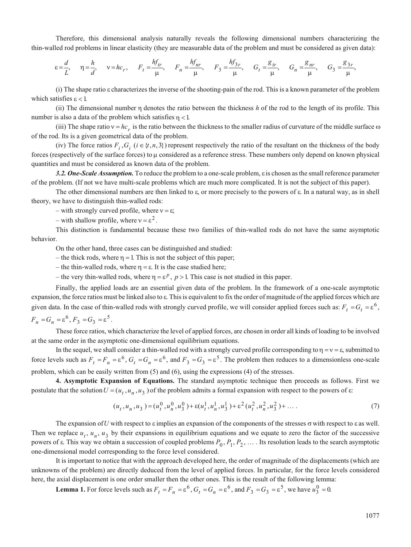Therefore, this dimensional analysis naturally reveals the following dimensional numbers characterizing the thin-walled rod problems in linear elasticity (they are measurable data of the problem and must be considered as given data):

$$
\varepsilon = \frac{d}{L}, \quad \eta = \frac{h}{d}, \quad v = hc_r, \quad F_t = \frac{hf_{tr}}{\mu}, \quad F_n = \frac{hf_{nr}}{\mu}, \quad F_3 = \frac{hf_{3r}}{\mu}, \quad G_t = \frac{g_{tr}}{\mu}, \quad G_n = \frac{g_{nr}}{\mu}, \quad G_3 = \frac{g_{3r}}{\mu}
$$

(i) The shape ratio characterizes the inverse of the shooting-pain of the rod. This is a known parameter of the problem which satisfies  $\epsilon$  < 1.

(ii) The dimensional number  $\eta$  denotes the ratio between the thickness  $h$  of the rod to the length of its profile. This number is also a data of the problem which satisfies  $\eta$  < 1.

(iii) The shape ratio  $v = hc_r$  is the ratio between the thickness to the smaller radius of curvature of the middle surface  $\omega$ of the rod. Its is a given geometrical data of the problem.

(iv) The force ratios  $F_i$ ,  $G_i$  ( $i \in \{t, n, 3\}$ ) represent respectively the ratio of the resultant on the thickness of the body forces (respectively of the surface forces) to  $\mu$  considered as a reference stress. These numbers only depend on known physical quantities and must be considered as known data of the problem.

3.2. One-Scale Assumption. To reduce the problem to a one-scale problem, *i* is chosen as the small reference parameter of the problem. (If not we have multi-scale problems which are much more complicated. It is not the subject of this paper).

The other dimensional numbers are then linked to  $\varepsilon$ , or more precisely to the powers of  $\varepsilon$ . In a natural way, as in shell theory, we have to distinguish thin-walled rods:

– with strongly curved profile, where  $v = \varepsilon$ ;

– with shallow profile, where  $v = \varepsilon^2$ .

This distinction is fundamental because these two families of thin-walled rods do not have the same asymptotic behavior.

On the other hand, three cases can be distinguished and studied:

– the thick rods, where  $\eta = 1$ . This is not the subject of this paper;

- the thin-walled rods, where  $\eta = \varepsilon$ . It is the case studied here;

– the very thin-walled rods, where  $\eta = \varepsilon^p$ ,  $p > 1$ . This case is not studied in this paper.

Finally, the applied loads are an essential given data of the problem. In the framework of a one-scale asymptotic expansion, the force ratios must be linked also to  $\varepsilon$ . This is equivalent to fix the order of magnitude of the applied forces which are given data. In the case of thin-walled rods with strongly curved profile, we will consider applied forces such as:  $F_t = G_t = \varepsilon^6$ ,

$$
F_n = G_n = \varepsilon^6, F_3 = G_3 = \varepsilon^5.
$$

These force ratios, which characterize the level of applied forces, are chosen in order all kinds of loading to be involved at the same order in the asymptotic one-dimensional equilibrium equations.

In the sequel, we shall consider a thin-walled rod with a strongly curved profile corresponding to  $\eta = v = \varepsilon$ , submitted to force levels such as  $F_t = F_n = \varepsilon^6$ ,  $G_t = G_n = \varepsilon^6$ , and  $F_3 = G_3 = \varepsilon^5$ . The problem then reduces to a dimensionless one-scale problem, which can be easily written from (5) and (6), using the expressions (4) of the stresses.

**4. Asymptotic Expansion of Equations.** The standard asymptotic technique then proceeds as follows. First we postulate that the solution  $U = (u_t, u_n, u_3)$  of the problem admits a formal expansion with respect to the powers of  $\varepsilon$ :

$$
(u_t, u_n, u_3) = (u_t^0, u_n^0, u_3^0) + \varepsilon (u_t^1, u_n^1, u_3^1) + \varepsilon^2 (u_t^2, u_n^2, u_3^2) + \dots
$$
 (7)

The expansion of *U* with respect to  $\varepsilon$  implies an expansion of the components of the stresses  $\sigma$  with respect to  $\varepsilon$  as well. Then we replace  $u_1$ ,  $u_n$ ,  $u_3$  by their expansions in equilibrium equations and we equate to zero the factor of the successive powers of  $\varepsilon$ . This way we obtain a succession of coupled problems  $P_0, P_1, P_2, \ldots$ . Its resolution leads to the search asymptotic one-dimensional model corresponding to the force level considered.

It is important to notice that with the approach developed here, the order of magnitude of the displacements (which are unknowns of the problem) are directly deduced from the level of applied forces. In particular, for the force levels considered here, the axial displacement is one order smaller then the other ones. This is the result of the following lemma:

**Lemma 1.** For force levels such as  $F_t = F_n = \varepsilon^6$ ,  $G_t = G_n = \varepsilon^6$ , and  $F_3 = G_3 = \varepsilon^5$ , we have  $u_3^0 = 0$ .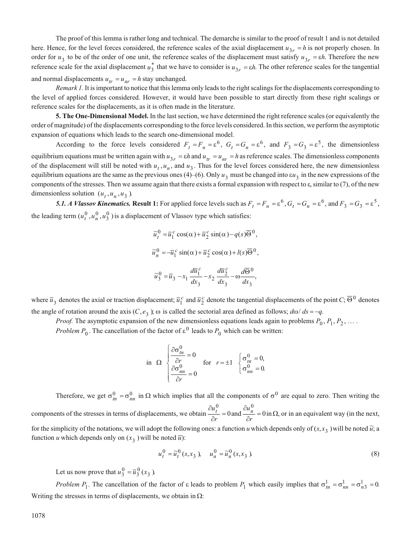The proof of this lemma is rather long and technical. The demarche is similar to the proof of result 1 and is not detailed here. Hence, for the level forces considered, the reference scales of the axial displacement  $u_{3r} = h$  is not properly chosen. In order for  $u_3$  to be of the order of one unit, the reference scales of the displacement must satisfy  $u_{3r} = \varepsilon h$ . Therefore the new reference scale for the axial displacement  $u_3^*$  that we have to consider is  $u_{3r} = \varepsilon h$ . The other reference scales for the tangential and normal displacements  $u_{tr} = u_{nr} = h$  stay unchanged.

*Remark 1.* It is important to notice that this lemma only leads to the right scalings for the displacements corresponding to the level of applied forces considered. However, it would have been possible to start directly from these right scalings or reference scales for the displacements, as it is often made in the literature.

**5. The One-Dimensional Model.** In the last section, we have determined the right reference scales (or equivalently the order of magnitude) of the displacements corresponding to the force levels considered. In this section, we perform the asymptotic expansion of equations which leads to the search one-dimensional model.

According to the force levels considered  $F_t = F_n = \varepsilon^6$ ,  $G_t = G_n = \varepsilon^6$ , and  $F_3 = G_3 = \varepsilon^5$ , the dimensionless equilibrium equations must be written again with  $u_{3r} = \varepsilon h$  and  $u_{tr} = u_{nr} = h$  as reference scales. The dimensionless components of the displacement will still be noted with  $u_t$ ,  $u_n$ , and  $u_3$ . Thus for the level forces considered here, the new dimensionless equilibrium equations are the same as the previous ones (4)–(6). Only  $u_3$  must be changed into  $\epsilon u_3$  in the new expressions of the components of the stresses. Then we assume again that there exists a formal expansion with respect to  $\varepsilon$ , similar to (7), of the new dimensionless solution  $(u_t, u_n, u_3)$ .

**5.1.** A Vlassov Kinematics. Result 1: For applied force levels such as  $F_t = F_n = \varepsilon^6$ ,  $G_t = G_n = \varepsilon^6$ , and  $F_3 = G_3 = \varepsilon^5$ , the leading term  $(u_t^0, u_n^0, u_3^0)$  is a displacement of Vlassov type which satisfies:

$$
\widetilde{u}_t^0 = \overline{u}_1^c \cos(\alpha) + \overline{u}_2^c \sin(\alpha) - q(s)\overline{\Theta}^0,
$$
  

$$
\widetilde{u}_n^0 = -\overline{u}_1^c \sin(\alpha) + \overline{u}_2^c \cos(\alpha) + l(s)\overline{\Theta}^0,
$$
  

$$
\widetilde{u}_3^0 = \overline{u}_3 - x_1 \frac{d\overline{u}_1^c}{dx_3} - x_2 \frac{d\overline{u}_2^c}{dx_3} - \omega \frac{d\overline{\Theta}^0}{dx_3},
$$

where  $\bar{u}_3$  denotes the axial or traction displacement;  $\bar{u}_1^c$  and  $\bar{u}_2^c$  denote the tangential displacements of the point  $C$ ;  $\bar{\Theta}^0$  denotes the angle of rotation around the axis  $(C, e_3)$ ;  $\omega$  is called the sectorial area defined as follows;  $d\omega/ds = -q$ .

*Proof.* The asymptotic expansion of the new dimensionless equations leads again to problems  $P_0, P_1, P_2, \ldots$ .

*Problem*  $P_0$ . The cancellation of the factor of  $\varepsilon^0$  leads to  $P_0$  which can be written:

in 
$$
\Omega
$$
 
$$
\begin{cases} \frac{\partial \sigma_m^0}{\partial r} = 0 \\ \frac{\partial \sigma_m^0}{\partial r} = 0 \end{cases}
$$
 for  $r = \pm 1$  
$$
\begin{cases} \sigma_m^0 = 0, \\ \sigma_m^0 = 0. \end{cases}
$$

Therefore, we get  $\sigma_{tn}^0 = \sigma_{nn}^0$  in  $\Omega$  which implies that all the components of  $\sigma^0$  are equal to zero. Then writing the components of the stresses in terms of displacements, we obtain  $\frac{\partial u_t^0}{\partial r} =$ *t* 0 0and  $\frac{\partial u_n^0}{\partial r} =$ *n* 0  $0$  in  $\Omega$ , or in an equivalent way (in the next, for the simplicity of the notations, we will adopt the following ones: a function *u* which depends only of  $(s, x_3$  will be noted  $\tilde{u}$ ; a function *u* which depends only on  $(x_3)$  will be noted  $\overline{u}$ ):

$$
u_t^0 = \tilde{u}_t^0(s, x_3), \quad u_n^0 = \tilde{u}_n^0(s, x_3).
$$
 (8)

Let us now prove that  $u_3^0 = \overline{u}_3^0$  ( $x_3$ ).

*Problem*  $P_1$ . The cancellation of the factor of  $\varepsilon$  leads to problem  $P_1$  which easily implies that  $\sigma_{tn}^1 = \sigma_{nn}^1 = \sigma_{n3}^1 = 0$ . Writing the stresses in terms of displacements, we obtain in  $\Omega$ :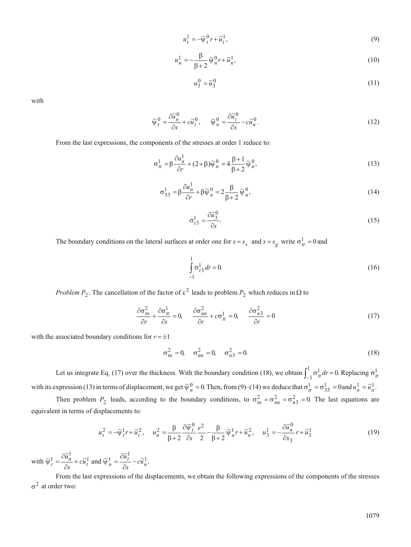$$
u_t^1 = -\widetilde{\psi}_t^0 r + \widetilde{u}_t^1,\tag{9}
$$

$$
u_n^1 = -\frac{\beta}{\beta + 2} \widetilde{\psi}_n^0 r + \widetilde{u}_n^1,\tag{10}
$$

$$
u_3^0 = \widetilde{u}_3^0 \tag{11}
$$

with

$$
\widetilde{\Psi}_t^0 = \frac{\partial \widetilde{u}_n^0}{\partial s} + c \widetilde{u}_t^0, \qquad \widetilde{\Psi}_n^0 = \frac{\partial \widetilde{u}_t^0}{\partial s} - c \widetilde{u}_n^0. \tag{12}
$$

From the last expressions, the components of the stresses at order 1 reduce to:

$$
\sigma_{tt}^1 = \beta \frac{\partial u_n^1}{\partial r} + (2 + \beta) \widetilde{\psi}_n^0 = 4 \frac{\beta + 1}{\beta + 2} \widetilde{\psi}_n^0,
$$
\n(13)

$$
\sigma_{33}^1 = \beta \frac{\partial u_n^1}{\partial r} + \beta \widetilde{\psi}_n^0 = 2 \frac{\beta}{\beta + 2} \widetilde{\psi}_n^0,
$$
\n(14)

$$
\sigma_{t3}^1 = \frac{\partial \widetilde{u}_3^0}{\partial s}.\tag{15}
$$

The boundary conditions on the lateral surfaces at order one for  $s = s_+$  and  $s = s_g$  write  $\sigma_t^1 = 0$  and

$$
\int_{-1}^{1} \sigma_{t3}^{1} dr = 0.
$$
 (16)

*Problem*  $P_2$ . The cancellation of the factor of  $\varepsilon^2$  leads to problem  $P_2$  which reduces in  $\Omega$  to

$$
\frac{\partial \sigma_{tn}^2}{\partial r} + \frac{\partial \sigma_{tt}^1}{\partial s} = 0, \qquad \frac{\partial \sigma_{nn}^2}{\partial r} + c \sigma_{tt}^1 = 0, \qquad \frac{\partial \sigma_{n3}^2}{\partial r} = 0 \tag{17}
$$

with the associated boundary conditions for  $r = \pm 1$ 

$$
\sigma_{in}^2 = 0, \quad \sigma_{nn}^2 = 0, \quad \sigma_{n3}^2 = 0. \tag{18}
$$

Let us integrate Eq. (17) over the thickness. With the boundary condition (18), we obtain  $\int_{-1}^{1} \sigma_{tt}^{1} dt$  $\int_{-1}^{1} \sigma_{tt}^{1} dr = 0$ . Replacing  $\sigma_{tt}^{1}$ with its expression (13) in terms of displacement, we get  $\tilde{\psi}_n^0 = 0$ . Then, from (9)–(14) we deduce that  $\sigma_{tt}^1 = \sigma_{33}^1 = 0$  and  $u_n^1 = \tilde{u}_n^1$ .

Then problem  $P_2$  leads, according to the boundary conditions, to  $\sigma_{tn}^2 = \sigma_{nn}^2 = \sigma_{n3}^2 = 0$ . The last equations are equivalent in terms of displacements to:

$$
u_t^2 = -\widetilde{\psi}_t^1 r + \widetilde{u}_t^2, \quad u_n^2 = \frac{\beta}{\beta + 2} \frac{\partial \widetilde{\psi}_t^0}{\partial s} \frac{r^2}{2} - \frac{\beta}{\beta + 2} \widetilde{\psi}_n^1 r + \widetilde{u}_n^2, \quad u_3^1 = -\frac{\partial \widetilde{u}_n^0}{\partial x_3} r + \widetilde{u}_3^1 \tag{19}
$$

with  $\widetilde{\Psi}_t^1 = \frac{\partial \widetilde{u}_n^1}{\partial s} + c \widetilde{u}_t^1$ *s*  $\frac{1}{t} = \frac{\partial \widetilde{u}^1_n}{\partial t} + c \widetilde{u}^1_t$  $\frac{\partial \widetilde{u}_n^1}{\partial s} + c \widetilde{u}_t^1$  and  $\widetilde{\psi}_n^1 = \frac{\partial \widetilde{u}_t^1}{\partial s} - c \widetilde{u}_n^1$ *s*  $\frac{1}{n} = \frac{\partial \widetilde{u}_t^1}{\partial s} - c\widetilde{u}_n^1.$ 

From the last expressions of the displacements, we obtain the following expressions of the components of the stresses  $\sigma^2$  at order two: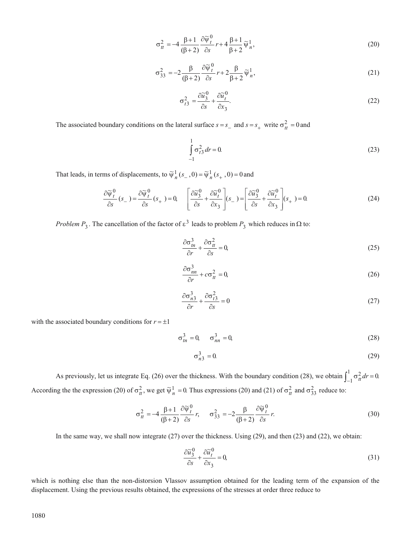$$
\sigma_{tt}^2 = -4 \frac{\beta + 1}{(\beta + 2)} \frac{\partial \widetilde{\psi}_t^0}{\partial s} r + 4 \frac{\beta + 1}{\beta + 2} \widetilde{\psi}_t^1,
$$
\n(20)

$$
\sigma_{33}^2 = -2 \frac{\beta}{(\beta+2)} \frac{\partial \widetilde{\psi}_t^0}{\partial s} r + 2 \frac{\beta}{\beta+2} \widetilde{\psi}_n^1,
$$
\n(21)

$$
\sigma_{t3}^2 = \frac{\partial \widetilde{u}_3^0}{\partial s} + \frac{\partial \widetilde{u}_t^0}{\partial x_3}.
$$
\n(22)

The associated boundary conditions on the lateral surface  $s = s_$  and  $s = s_+$  write  $\sigma_t^2 = 0$  and

$$
\int_{-1}^{1} \sigma_{t3}^2 dr = 0.
$$
 (23)

That leads, in terms of displacements, to  $\widetilde{\psi}_n^1(s_-, 0) = \widetilde{\psi}_n^1(s_+, 0) = 0$  and

$$
\frac{\partial \widetilde{\psi}_t^0}{\partial s}(s_-) = \frac{\partial \widetilde{\psi}_t^0}{\partial s}(s_+) = 0, \quad \left[\frac{\partial \widetilde{u}_3^0}{\partial s} + \frac{\partial \widetilde{u}_t^0}{\partial x_3}\right](s_-) = \left[\frac{\partial \widetilde{u}_3^0}{\partial s} + \frac{\partial \widetilde{u}_t^0}{\partial x_3}\right](s_+) = 0. \tag{24}
$$

*Problem*  $P_3$ . The cancellation of the factor of  $\varepsilon^3$  leads to problem  $P_3$  which reduces in  $\Omega$  to:

$$
\frac{\partial \sigma_m^3}{\partial r} + \frac{\partial \sigma_d^2}{\partial s} = 0,\tag{25}
$$

$$
\frac{\partial \sigma_{nn}^3}{\partial r} + c \sigma_{tt}^2 = 0, \tag{26}
$$

$$
\frac{\partial \sigma_{n3}^3}{\partial r} + \frac{\partial \sigma_{t3}^2}{\partial s} = 0
$$
\n(27)

with the associated boundary conditions for  $r = \pm 1$ 

$$
\sigma_{tn}^3 = 0, \quad \sigma_{nn}^3 = 0,\tag{28}
$$

$$
\sigma_{n3}^3 = 0. \tag{29}
$$

As previously, let us integrate Eq. (26) over the thickness. With the boundary condition (28), we obtain  $\int_{-1}^{1} \sigma_{tt}^2 dr$  $\int_{-1}^{1} \sigma_{tt}^{2} dr = 0.$ According the the expression (20) of  $\sigma_t^2$ , we get  $\tilde{\psi}_n^1 = 0$ . Thus expressions (20) and (21) of  $\sigma_t^2$  and  $\sigma_{33}^2$  reduce to:

$$
\sigma_{tt}^2 = -4 \frac{\beta + 1}{(\beta + 2)} \frac{\partial \widetilde{\psi}_t^0}{\partial s} r, \qquad \sigma_{33}^2 = -2 \frac{\beta}{(\beta + 2)} \frac{\partial \widetilde{\psi}_t^0}{\partial s} r.
$$
 (30)

In the same way, we shall now integrate (27) over the thickness. Using (29), and then (23) and (22), we obtain:

$$
\frac{\partial \widetilde{u}_3^0}{\partial s} + \frac{\partial \widetilde{u}_t^0}{\partial x_3} = 0,\tag{31}
$$

which is nothing else than the non-distorsion Vlassov assumption obtained for the leading term of the expansion of the displacement. Using the previous results obtained, the expressions of the stresses at order three reduce to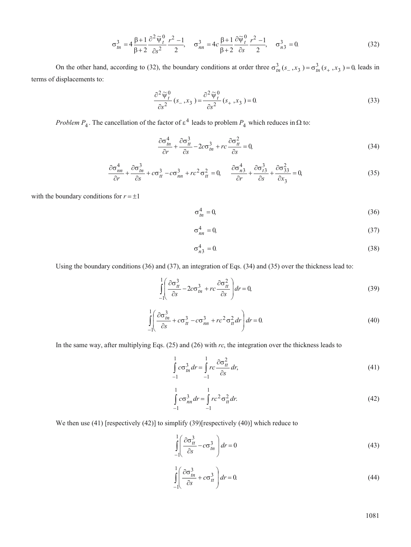$$
\sigma_m^3 = 4 \frac{\beta+1}{\beta+2} \frac{\partial^2 \widetilde{\psi}_t^0}{\partial s^2} \frac{r^2-1}{2}, \quad \sigma_m^3 = 4c \frac{\beta+1}{\beta+2} \frac{\partial \widetilde{\psi}_t^0}{\partial s} \frac{r^2-1}{2}, \quad \sigma_{n3}^3 = 0.
$$
 (32)

On the other hand, according to (32), the boundary conditions at order three  $\sigma_m^3(s_-, x_3^-) = \sigma_m^3(s_+, x_3^-) = 0$ , leads in terms of displacements to:

$$
\frac{\partial^2 \widetilde{\psi}_t^0}{\partial s^2}(s_-, x_3^-) = \frac{\partial^2 \widetilde{\psi}_t^0}{\partial s^2}(s_+, x_3^-) = 0.
$$
\n(33)

*Problem*  $P_4$ . The cancellation of the factor of  $\epsilon^4$  leads to problem  $P_4$  which reduces in  $\Omega$  to:

$$
\frac{\partial \sigma_m^4}{\partial r} + \frac{\partial \sigma_d^3}{\partial s} - 2c \sigma_m^3 + rc \frac{\partial \sigma_d^2}{\partial s} = 0,
$$
\n(34)

$$
\frac{\partial \sigma_{nn}^4}{\partial r} + \frac{\partial \sigma_{nn}^3}{\partial s} + c \sigma_{tt}^3 - c \sigma_{nn}^3 + rc^2 \sigma_{tt}^2 = 0, \qquad \frac{\partial \sigma_{n3}^4}{\partial r} + \frac{\partial \sigma_{t3}^3}{\partial s} + \frac{\partial \sigma_{33}^2}{\partial x_3} = 0,
$$
\n(35)

with the boundary conditions for  $r = \pm 1$ 

$$
\sigma_{tn}^4 = 0,\tag{36}
$$

$$
\sigma_{nn}^4 = 0,\tag{37}
$$

$$
\sigma_{n3}^4 = 0. \tag{38}
$$

Using the boundary conditions (36) and (37), an integration of Eqs. (34) and (35) over the thickness lead to:

$$
\int_{-1}^{1} \left( \frac{\partial \sigma_{tt}^3}{\partial s} - 2c \sigma_{tn}^3 + rc \frac{\partial \sigma_{tt}^2}{\partial s} \right) dr = 0,
$$
\n(39)

$$
\int_{-1}^{1} \left( \frac{\partial \sigma_m^3}{\partial s} + c \sigma_d^3 - c \sigma_m^3 + r c^2 \sigma_d^2 dr \right) dr = 0.
$$
\n(40)

In the same way, after multiplying Eqs. (25) and (26) with *rc*, the integration over the thickness leads to

$$
\int_{-1}^{1} c \sigma_{tn}^{3} dr = \int_{-1}^{1} rc \frac{\partial \sigma_{tt}^{2}}{\partial s} dr,
$$
\n(41)

$$
\int_{-1}^{1} c \sigma_{nn}^{3} dr = \int_{-1}^{1} r c^{2} \sigma_{tt}^{2} dr.
$$
\n(42)

We then use (41) [respectively (42)] to simplify (39)[respectively (40)] which reduce to

$$
\int_{-1}^{1} \left( \frac{\partial \sigma_{tt}^3}{\partial s} - c \sigma_{tn}^3 \right) dr = 0
$$
\n(43)

$$
\int_{-1}^{1} \left( \frac{\partial \sigma_m^3}{\partial s} + c \sigma_t^3 \right) dr = 0.
$$
\n(44)

1081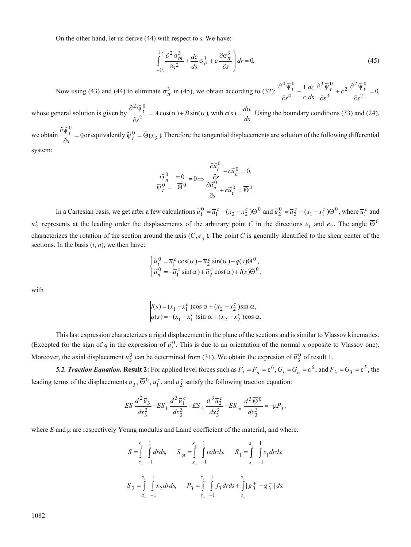On the other hand, let us derive (44) with respect to *s*. We have:

$$
\int_{-1}^{1} \left( \frac{\partial^2 \sigma_{tn}^3}{\partial s^2} + \frac{dc}{ds} \sigma_{tt}^3 + c \frac{\partial \sigma_{tt}^3}{\partial s} \right) dr = 0.
$$
\n(45)

Now using (43) and (44) to eliminate  $\sigma_{tt}^3$  in (45), we obtain according to (32):  $\frac{\partial^4 \widetilde{\psi}_{t}^0}{\partial s^4} - \frac{1}{c} \frac{dc}{ds} \frac{\partial^3}{\partial s^3}$ +  $c^2 \frac{\partial^2 \widetilde{\psi}_t^0}{\partial s^2} =$  $4\approx 0$ 4  $3 \approx 0$ 3  $2 \frac{\partial^2 \widetilde{\mathsf{v}}_t^0}{\partial t}$  $\frac{\widetilde{\Psi}_{t}^{0}}{s^{4}} - \frac{1}{c} \frac{dc}{ds} \frac{\partial^{3} \widetilde{\Psi}_{t}^{0}}{\partial s^{3}} + c^{2} \frac{\partial^{2} \widetilde{\Psi}_{t}^{0}}{\partial s^{2}} = 0$  $s^4$  *c dc*  $ds \quad \partial s$  $c^2$   $\frac{r}{\partial s^2} = 0$ 

whose general solution is given by  $\partial$  $\hat{o}$  $= A \cos(\alpha) +$  $2\approx 0$ 2  $\frac{\widetilde{\Psi}_t^0}{2} = A \cos(\alpha) + B \sin(\alpha)$ *s*  $A\cos(\alpha) + B\sin(\alpha)$ , with  $c(s) = \frac{d\alpha}{ds}$ . Using the boundary conditions (33) and (24),

we obtain  $\frac{\partial \widetilde{\psi}^{\,0}_t}{\partial s}=$  $\widetilde{\Psi}_t^0$ *s*  $\frac{dt}{dt}$  = 0 or equivalently  $\widetilde{\Psi}_t^0$  =  $\overline{\Theta}(x_3$  ). Therefore the tangential displacements are solution of the following differential system:

$$
\begin{array}{ccc}\n\widetilde{\psi}^0_n&=0\\
\widetilde{\psi}^0_t&=\overline{\Theta}^0\end{array} \Longrightarrow \begin{array}{l} \frac{\partial \widetilde{u}^0_t}{\partial s}-c\widetilde{u}^0_n=0,\\ \frac{\partial \widetilde{u}^0_n}{\partial s}+c\widetilde{u}^0_t=\overline{\Theta}^0.\end{array}
$$

In a Cartesian basis, we get after a few calculations  $\tilde{u}_1^0 = \overline{u}_1^c - (x_2 - x_2^c) \overline{\Theta}^0$  and  $\tilde{u}_2^0 = \overline{u}_2^c + (x_1 - x_1^c) \overline{\Theta}^0$ , where  $\overline{u}_1^c$  and  $\overline{u}_2^c$  represents at the leading order the displacements of the arbitrary point *C* in the directions  $e_1$  and  $e_2$ . The angle  $\overline{\Theta}^0$ characterizes the rotation of the section around the axis  $(C, e_3)$ . The point *C* is generally identified to the shear center of the sections. In the basis  $(t, n)$ , we then have:

$$
\begin{cases} \tilde{u}_t^0 = \overline{u}_1^c \cos(\alpha) + \overline{u}_2^c \sin(\alpha) - q(s) \overline{\Theta}^0, \\ \tilde{u}_n^0 = -\overline{u}_1^c \sin(\alpha) + \overline{u}_2^c \cos(\alpha) + l(s) \overline{\Theta}^0, \end{cases}
$$

with

$$
l(s) = (x_1 - x_1^c) \cos \alpha + (x_2 - x_2^c) \sin \alpha,
$$
  
 
$$
q(s) = -(x_1 - x_1^c) \sin \alpha + (x_2 - x_2^c) \cos \alpha.
$$

This last expression characterizes a rigid displacement in the plane of the sections and is similar to Vlassov kinematics. (Excepted for the sign of *q* in the expression of  $\tilde{u}_t^0$ . This is due to an orientation of the normal *n* opposite to Vlassov one). Moreover, the axial displacement  $u_3^0$  can be determined from (31). We obtain the expresion of  $\tilde{u}_3^0$  of result 1.

**5.2. Traction Equation. Result 2:** For applied level forces such as  $F_t = F_n = \varepsilon^6$ ,  $G_t = G_n = \varepsilon^6$ , and  $F_3 = G_3 = \varepsilon^5$ , the leading terms of the displacements  $\overline{u}_3$ ,  $\overline{\Theta}^0$ ,  $\overline{u}_1^c$ , and  $\overline{u}_2^c$  satisfy the following traction equation:

$$
ES \frac{d^2 \overline{u}_3}{dx_3^2} - ES_1 \frac{d^3 \overline{u}_1^c}{dx_3^3} - ES_2 \frac{d^3 \overline{u}_2^c}{dx_3^3} - ES_{\omega} \frac{d^3 \overline{\Theta}^0}{dx_3^3} = -\mu P_3,
$$

where  $E$  and  $\mu$  are respectively Young modulus and Lamé coefficient of the material, and where:

$$
S = \int_{s_{-}}^{s_{+}} \int_{-1}^{1} dr ds, \quad S_{\omega} = \int_{s_{-}}^{s_{+}} \int_{-1}^{1} \omega dr ds, \quad S_{1} = \int_{s_{-}}^{s_{+}} \int_{-1}^{1} x_{1} dr ds,
$$
  

$$
S_{2} = \int_{s_{-}}^{s_{+}} \int_{-1}^{1} x_{2} dr ds, \quad P_{3} = \int_{s_{-}}^{s_{+}} \int_{-1}^{1} f_{3} dr ds + \int_{s_{-}}^{s_{+}} [g_{3}^{+} - g_{3}^{-}] ds.
$$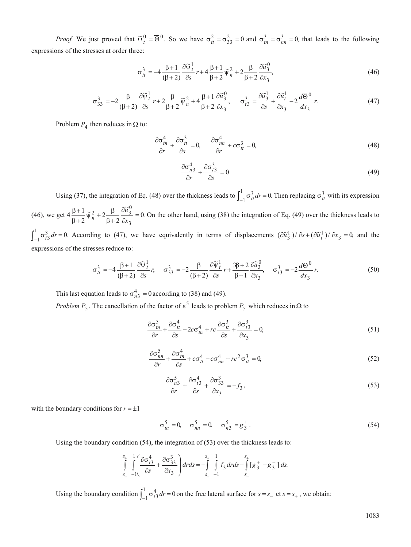*Proof.* We just proved that  $\tilde{\psi}_t^0 = \overline{\Theta}^0$ . So we have  $\sigma_t^2 = \sigma_{33}^2 = 0$  and  $\sigma_{tn}^3 = \sigma_{nn}^3 = 0$ , that leads to the following expressions of the stresses at order three:

$$
\sigma_{tt}^3 = -4 \frac{\beta + 1}{(\beta + 2)} \frac{\partial \widetilde{\psi}_t^1}{\partial s} r + 4 \frac{\beta + 1}{\beta + 2} \widetilde{\psi}_n^2 + 2 \frac{\beta}{\beta + 2} \frac{\partial \widetilde{u}_3^0}{\partial x_3},\tag{46}
$$

$$
\sigma_{33}^3 = -2\frac{\beta}{(\beta+2)}\frac{\partial \widetilde{\psi}_t^1}{\partial s}r + 2\frac{\beta}{\beta+2}\widetilde{\psi}_n^2 + 4\frac{\beta+1}{\beta+2}\frac{\partial \widetilde{u}_3^0}{\partial x_3}, \quad \sigma_{t3}^3 = \frac{\partial \widetilde{u}_3^1}{\partial s} + \frac{\partial \widetilde{u}_t^1}{\partial x_3} - 2\frac{d\overline{\Theta}^0}{dx_3}r. \tag{47}
$$

Problem  $P_4$  then reduces in  $\Omega$  to:

$$
\frac{\partial \sigma_m^4}{\partial r} + \frac{\partial \sigma_d^3}{\partial s} = 0, \qquad \frac{\partial \sigma_m^4}{\partial r} + c \sigma_d^3 = 0,
$$
\n(48)

$$
\frac{\partial \sigma_{n3}^4}{\partial r} + \frac{\partial \sigma_{i3}^3}{\partial s} = 0.
$$
\n(49)

Using (37), the integration of Eq. (48) over the thickness leads to  $\int_{-1}^{1} \sigma_{tt}^{3} dt$  $\int_{-1}^{1} \sigma_{tt}^{3} dr = 0$ . Then replacing  $\sigma_{tt}^{3}$  with its expression (46), we get  $4 \frac{\beta + 1}{2}$ 2 2 2  $\frac{2}{n}+2\frac{\beta}{\beta} \frac{\partial \widetilde{u}_3^0}{\partial \widetilde{u}_3^0}=0$ 3  $\frac{\beta+1}{\beta+2}\widetilde{\psi}_n^2+2\frac{\beta}{\beta+2}$  $^{+}$  $^{+}$  $^{+}$  $^{+}$  $\widetilde{\psi}_n^2 + 2 \frac{\beta}{\beta + 2} \frac{\partial \widetilde{u}_3^0}{\partial x_2} =$ *u x* . On the other hand, using (38) the integration of Eq. (49) over the thickness leads to  $\sigma_{t3}^3$  *dr* 1  $\int_{-1}^{1} \sigma_1^3 dr = 0$ . According to (47), we have equivalently in terms of displacements  $(\partial \tilde{u}_3^1)/\partial s + (\partial \tilde{u}_t^1)/\partial x_3 = 0$ , and the expressions of the stresses reduce to:

$$
\sigma_{tt}^3 = -4 \frac{\beta + 1}{(\beta + 2)} \frac{\partial \widetilde{\psi}_t^1}{\partial s} r, \quad \sigma_{33}^3 = -2 \frac{\beta}{(\beta + 2)} \frac{\partial \widetilde{\psi}_t^1}{\partial s} r + \frac{3\beta + 2}{\beta + 1} \frac{\partial \widetilde{u}_3^0}{\partial x_3}, \quad \sigma_{t3}^3 = -2 \frac{d\overline{\Theta}^0}{dx_3} r. \tag{50}
$$

This last equation leads to  $\sigma_{n3}^4 = 0$  according to (38) and (49).

*Problem*  $P_5$ . The cancellation of the factor of  $\varepsilon^5$  leads to problem  $P_5$  which reduces in  $\Omega$  to

$$
\frac{\partial \sigma_m^5}{\partial r} + \frac{\partial \sigma_d^4}{\partial s} - 2c \sigma_m^4 + rc \frac{\partial \sigma_d^3}{\partial s} + \frac{\partial \sigma_d^3}{\partial x_3} = 0,
$$
\n(51)

$$
\frac{\partial \sigma_{nn}^5}{\partial r} + \frac{\partial \sigma_{tn}^4}{\partial s} + c \sigma_{tt}^4 - c \sigma_{nn}^4 + rc^2 \sigma_{tt}^3 = 0,
$$
\n(52)

$$
\frac{\partial \sigma_{n3}^5}{\partial r} + \frac{\partial \sigma_{13}^4}{\partial s} + \frac{\partial \sigma_{33}^3}{\partial x_3} = -f_3,
$$
\n(53)

with the boundary conditions for  $r = \pm 1$ 

$$
\sigma_m^5 = 0, \quad \sigma_{nn}^5 = 0, \quad \sigma_{n3}^5 = g_{3}^{\pm} \,. \tag{54}
$$

Using the boundary condition (54), the integration of (53) over the thickness leads to:

$$
\int_{s_{-}}^{s_{+}} \int_{-1}^{1} \left( \frac{\partial \sigma_{t3}^{4}}{\partial s} + \frac{\partial \sigma_{33}^{3}}{\partial x_{3}} \right) dr ds = -\int_{s_{-}}^{s_{+}} \int_{-1}^{1} f_{3} dr ds - \int_{s_{-}}^{s_{+}} [g_{3}^{+} - g_{3}^{-}] ds.
$$

Using the boundary condition  $\int_{-1}^{1} \sigma_{t3}^{4} dr$ 1  $\int_{-1}^{1} \sigma_{t3}^{4} dr = 0$  on the free lateral surface for  $s = s_{-}$  et  $s = s_{+}$ , we obtain: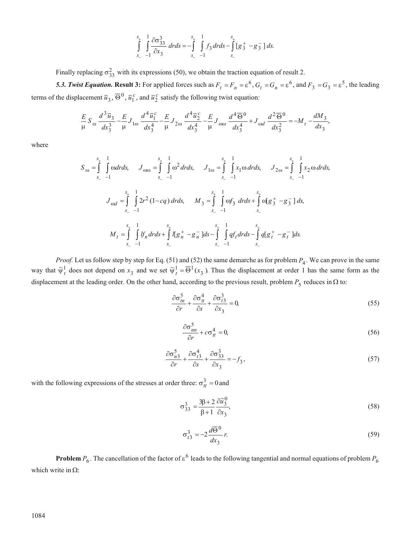$$
\int_{s_{-}}^{s_{+}} \int_{-1}^{1} \frac{\partial \sigma_{33}^{3}}{\partial x_{3}} dr ds = -\int_{s_{-}}^{s_{+}} \int_{-1}^{1} f_{3} dr ds - \int_{s_{-}}^{s_{+}} [g_{3}^{+} - g_{3}^{-}] ds.
$$

Finally replacing  $\sigma_{33}^2$  with its expressions (50), we obtain the traction equation of result 2.

**5.3. Twist Equation. Result 3:** For applied forces such as  $F_t = F_n = \varepsilon^6$ ,  $G_t = G_n = \varepsilon^6$ , and  $F_3 = G_3 = \varepsilon^5$ , the leading terms of the displacement  $\overline{u}_3$ ,  $\overline{\Theta}^0$ ,  $\overline{u}_1^c$ , and  $\overline{u}_2^c$  satisfy the following twist equation:

$$
\frac{E}{\mu} S_{\omega} \frac{d^3 \overline{u}_3}{dx_3^3} - \frac{E}{\mu} J_{1\omega} \frac{d^4 \overline{u}_1^c}{dx_3^4} - \frac{E}{\mu} J_{2\omega} \frac{d^4 \overline{u}_2^c}{dx_3^4} - \frac{E}{\mu} J_{\omega\omega} \frac{d^4 \overline{\Theta}^0}{dx_3^4} + J_{\omega d} \frac{d^2 \overline{\Theta}^0}{dx_3^2} = -M_t - \frac{dM_3}{dx_3},
$$

where

$$
S_{\omega} = \int_{s_{-}}^{s_{+}} \int_{-1}^{1} \omega dr ds, \quad J_{\omega\omega} = \int_{s_{-}}^{s_{+}} \int_{-1}^{1} \omega^{2} dr ds, \quad J_{1\omega} = \int_{s_{-}}^{s_{+}} \int_{-1}^{1} x_{1} \omega dr ds, \quad J_{2\omega} = \int_{s_{-}}^{s_{+}} \int_{-1}^{1} x_{2} \omega dr ds,
$$
  

$$
J_{\omega d} = \int_{s_{-}}^{s_{+}} \int_{-1}^{1} 2r^{2} (1 - cq) dr ds, \quad M_{3} = \int_{s_{-}}^{s_{+}} \int_{-1}^{1} \omega f_{3} dr ds + \int_{s_{-}}^{s_{+}} \omega [g_{3}^{+} - g_{3}^{-}] ds,
$$
  

$$
M_{t} = \int_{s_{-}}^{s_{+}} \int_{-1}^{1} If_{n} dr ds + \int_{s_{-}}^{s_{+}} I[g_{n}^{+} - g_{n}^{-}] ds - \int_{s_{-}}^{s_{+}} \int_{-1}^{1} qf_{t} dr ds - \int_{s_{-}}^{s_{+}} q[g_{t}^{+} - g_{t}^{-}] ds.
$$

*Proof.* Let us follow step by step for Eq. (51) and (52) the same demarche as for problem  $P_4$ . We can prove in the same way that  $\tilde{\psi}^1_t$  does not depend on  $x_3$  and we set  $\tilde{\psi}^1_t = \overline{\Theta}^1(x_3)$ . Thus the displacement at order 1 has the same form as the displacement at the leading order. On the other hand, according to the previous result, problem  $P_5$  reduces in  $\Omega$  to:

$$
\frac{\partial \sigma_m^5}{\partial r} + \frac{\partial \sigma_d^4}{\partial s} + \frac{\partial \sigma_{t3}^3}{\partial x_3} = 0,
$$
\n(55)

$$
\frac{\partial \sigma_{nn}^5}{\partial r} + c \sigma_{tt}^4 = 0,\tag{56}
$$

$$
\frac{\partial \sigma_{n3}^5}{\partial r} + \frac{\partial \sigma_{n3}^4}{\partial s} + \frac{\partial \sigma_{33}^3}{\partial x_3} = -f_3,
$$
\n(57)

with the following expressions of the stresses at order three:  $\sigma_{tt}^3 = 0$  and

$$
\sigma_{33}^3 = \frac{3\beta + 2}{\beta + 1} \frac{\partial \widetilde{u}_3^0}{\partial x_3},\tag{58}
$$

$$
\sigma_{t3}^3 = -2\frac{d\overline{\Theta}^0}{dx_3}r.\tag{59}
$$

**Problem**  $P_6$ . The cancellation of the factor of  $\varepsilon^6$  leads to the following tangential and normal equations of problem  $P_6$ which write in  $\Omega$ :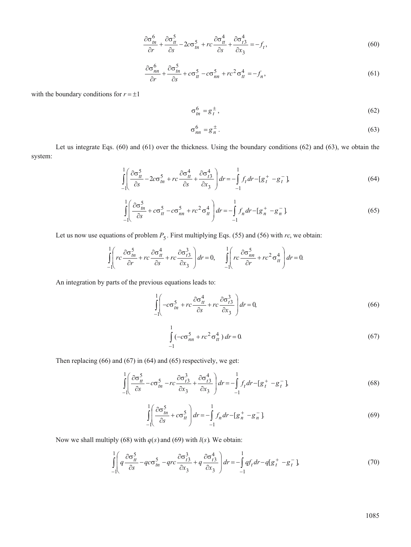$$
\frac{\partial \sigma_m^6}{\partial r} + \frac{\partial \sigma_d^5}{\partial s} - 2c \sigma_m^5 + rc \frac{\partial \sigma_d^4}{\partial s} + \frac{\partial \sigma_d^4}{\partial x_3} = -f_t,
$$
\n(60)

$$
\frac{\partial \sigma_{nn}^6}{\partial r} + \frac{\partial \sigma_{tn}^5}{\partial s} + c \sigma_{tt}^5 - c \sigma_{nn}^5 + rc^2 \sigma_{tt}^4 = -f_n,
$$
\n(61)

with the boundary conditions for  $r = \pm 1$ 

$$
\sigma_{tn}^6 = g_t^{\pm},\tag{62}
$$

$$
\sigma_{nn}^6 = g_n^{\pm} \,. \tag{63}
$$

Let us integrate Eqs. (60) and (61) over the thickness. Using the boundary conditions (62) and (63), we obtain the system:

$$
\int_{-1}^{1} \left( \frac{\partial \sigma_{tt}^5}{\partial s} - 2c \sigma_{tn}^5 + rc \frac{\partial \sigma_{tt}^4}{\partial s} + \frac{\partial \sigma_{t3}^4}{\partial x_3} \right) dr = -\int_{-1}^{1} f_t dr - [g_t^+ - g_t^-] \tag{64}
$$

$$
\int_{-1}^{1} \left( \frac{\partial \sigma_m^5}{\partial s} + c \sigma_u^5 - c \sigma_m^5 + r c^2 \sigma_u^4 \right) dr = -\int_{-1}^{1} f_n dr - [g_n^+ - g_n^-]
$$
\n(65)

Let us now use equations of problem  $P_5$ . First multiplying Eqs. (55) and (56) with *rc*, we obtain:

$$
\int_{-1}^{1} \left( rc \frac{\partial \sigma_m^5}{\partial r} + rc \frac{\partial \sigma_d^4}{\partial s} + rc \frac{\partial \sigma_{t3}^3}{\partial x_3} \right) dr = 0, \quad \int_{-1}^{1} \left( rc \frac{\partial \sigma_m^5}{\partial r} + rc^2 \sigma_d^4 \right) dr = 0.
$$

An integration by parts of the previous equations leads to:

$$
\int_{-1}^{1} \left( -c\sigma_m^5 + rc \frac{\partial \sigma_u^4}{\partial s} + rc \frac{\partial \sigma_{t3}^3}{\partial x_3} \right) dr = 0,
$$
\n(66)

$$
\int_{-1}^{1} \left(-c\sigma_{nn}^{5} + rc^{2}\sigma_{tt}^{4}\right)dr = 0.
$$
\n(67)

Then replacing (66) and (67) in (64) and (65) respectively, we get:

$$
\int_{-1}^{1} \left( \frac{\partial \sigma_{tt}^5}{\partial s} - c \sigma_{tn}^5 - rc \frac{\partial \sigma_{t3}^3}{\partial x_3} + \frac{\partial \sigma_{t3}^4}{\partial x_3} \right) dr = -\int_{-1}^{1} f_t dr - [g_t^+ - g_t^-]
$$
(68)

$$
\int_{-1}^{1} \left( \frac{\partial \sigma_m^5}{\partial s} + c \sigma_u^5 \right) dr = -\int_{-1}^{1} f_n dr - \left[ g_n^+ - g_n^- \right].
$$
\n(69)

Now we shall multiply (68) with  $q(s)$  and (69) with  $l(s)$ . We obtain:

$$
\int_{-1}^{1} \left( q \frac{\partial \sigma_u^5}{\partial s} - q c \sigma_m^5 - q r c \frac{\partial \sigma_{t3}^3}{\partial x_3} + q \frac{\partial \sigma_{t3}^4}{\partial x_3} \right) dr = -\int_{-1}^{1} q f_t dr - q [g_t^+ - g_t^-]
$$
(70)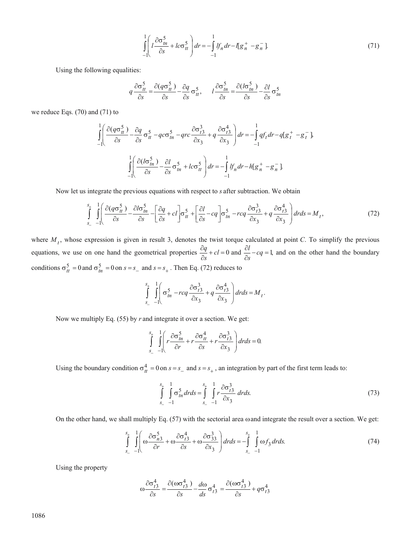$$
\int_{-1}^{1} \left( l \frac{\partial \sigma_m^5}{\partial s} + l c \sigma_d^5 \right) dr = -\int_{-1}^{1} l f_n dr - l [g_n^+ - g_n^-].
$$
\n(71)

Using the following equalities:

$$
q\frac{\partial \sigma_H^5}{\partial s} = \frac{\partial (q\sigma_H^5)}{\partial s} - \frac{\partial q}{\partial s} \sigma_H^5, \qquad l\frac{\partial \sigma_H^5}{\partial s} = \frac{\partial (l\sigma_H^5)}{\partial s} - \frac{\partial l}{\partial s} \sigma_H^5
$$

we reduce Eqs. (70) and (71) to

$$
\int_{-1}^{1} \left( \frac{\partial (q\sigma_{tt}^{5})}{\partial s} - \frac{\partial q}{\partial s} \sigma_{tt}^{5} - qcc \frac{\partial \sigma_{tt}^{5}}{\partial x_{3}} + q \frac{\partial \sigma_{t3}^{4}}{\partial x_{3}} \right) dr = -\int_{-1}^{1} qf_{t} dr - q[g_{t}^{+} - g_{t}^{-}]
$$

$$
\int_{-1}^{1} \left( \frac{\partial (l\sigma_{tn}^{5})}{\partial s} - \frac{\partial l}{\partial s} \sigma_{tn}^{5} + lcc \frac{\partial \sigma_{tt}^{5}}{\partial x_{3}} \right) dr = -\int_{-1}^{1} l f_{n} dr - h[g_{n}^{+} - g_{n}^{-}]
$$

Now let us integrate the previous equations with respect to *s* after subtraction. We obtain

$$
\int_{s_{-}}^{s_{+}} \int_{-1}^{1} \left( \frac{\partial (q \sigma_{tt}^{5})}{\partial s} - \frac{\partial l \sigma_{tn}^{5}}{\partial s} - \left[ \frac{\partial q}{\partial s} + cl \right] \sigma_{tt}^{5} + \left[ \frac{\partial l}{\partial s} - cq \right] \sigma_{tn}^{5} - r c q \frac{\partial \sigma_{t3}^{3}}{\partial x_{3}} + q \frac{\partial \sigma_{t3}^{4}}{\partial x_{3}} \right) dr ds = M_{t}, \tag{72}
$$

where  $M_t$ , whose expression is given in result 3, denotes the twist torque calculated at point *C*. To simplify the previous equations, we use on one hand the geometrical properties  $\frac{\partial}{\partial \theta}$  $\frac{dq}{dt} + cl =$ *s*  $cl = 0$  and  $\frac{\partial l}{\partial s} - cq =$ *s*  $cq = 1$ , and on the other hand the boundary conditions  $\sigma_{tt}^5 = 0$  and  $\sigma_{tn}^5 = 0$  on  $s = s_$  and  $s = s_+$ . Then Eq. (72) reduces to

$$
\int_{s_-}^{s_+} \int_{-1}^{1} \left( \sigma_m^5 - r c q \frac{\partial \sigma_{t3}^3}{\partial x_3} + q \frac{\partial \sigma_{t3}^4}{\partial x_3} \right) dr ds = M_t.
$$

Now we multiply Eq. (55) by *r* and integrate it over a section. We get:

$$
\int_{s_-}^{s_+} \int_{-1}^{1} \left( r \frac{\partial \sigma_m^5}{\partial r} + r \frac{\partial \sigma_H^4}{\partial s} + r \frac{\partial \sigma_{t3}^3}{\partial x_3} \right) dr ds = 0.
$$

Using the boundary condition  $\sigma_{tt}^4 = 0$  on  $s = s_+$  and  $s = s_+$ , an integration by part of the first term leads to:

$$
\int_{S_{-}}^{S_{+}} \int_{-1}^{1} \sigma_{in}^{5} dr ds = \int_{S_{-}}^{S_{+}} \int_{-1}^{1} r \frac{\partial \sigma_{t3}^{3}}{\partial x_{3}} dr ds.
$$
 (73)

On the other hand, we shall multiply Eq.  $(57)$  with the sectorial area  $\omega$  and integrate the result over a section. We get:

$$
\int_{s_{-}}^{s_{+}} \int_{-1}^{1} \left( \omega \frac{\partial \sigma_{n3}^{5}}{\partial r} + \omega \frac{\partial \sigma_{n3}^{4}}{\partial s} + \omega \frac{\partial \sigma_{33}^{3}}{\partial x_{3}} \right) dr ds = -\int_{s_{-}}^{s_{+}} \int_{-1}^{1} \omega f_{3} dr ds. \tag{74}
$$

Using the property

$$
\omega \frac{\partial \sigma_{t3}^4}{\partial s} = \frac{\partial (\omega \sigma_{t3}^4)}{\partial s} - \frac{d\omega}{ds} \sigma_{t3}^4 = \frac{\partial (\omega \sigma_{t3}^4)}{\partial s} + q \sigma_{t3}^4
$$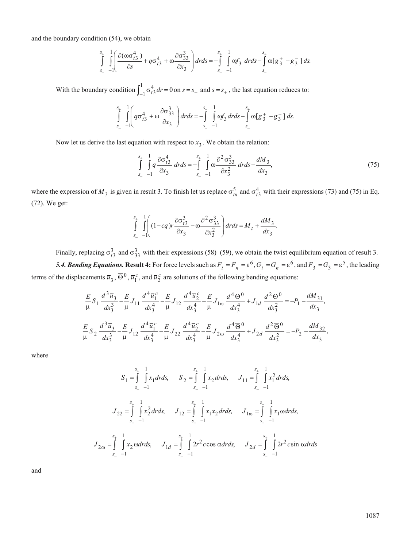and the boundary condition (54), we obtain

$$
\int_{s_-}^{s_+} \int_{-1}^{1} \left( \frac{\partial (\omega \sigma_{t3}^4)}{\partial s} + q \sigma_{t3}^4 + \omega \frac{\partial \sigma_{33}^3}{\partial x_3} \right) dr ds = -\int_{s_-}^{s_+} \int_{-1}^{1} \omega f_3 \ dr ds - \int_{s_-}^{s_+} \omega [g_3^+ - g_3^-] ds.
$$

With the boundary condition  $\int_{-1}^{1} \sigma_{t3}^4 dr$ 1  $\int_{-1}^{1} \sigma_{t3}^{4} dr = 0$  on  $s = s_{-}$  and  $s = s_{+}$ , the last equation reduces to:

$$
\int_{s_{-}}^{s_{+}} \int_{-1}^{1} \left( q \sigma_{t3}^{4} + \omega \frac{\partial \sigma_{33}^{3}}{\partial x_{3}} \right) dr ds = -\int_{s_{-}}^{s_{+}} \int_{-1}^{1} \omega f_{3} dr ds - \int_{s_{-}}^{s_{+}} \omega [g_{3}^{+} - g_{3}^{-}] ds.
$$

Now let us derive the last equation with respect to  $x_3$ . We obtain the relation:

$$
\int_{s_{-}}^{s_{+}} \int_{-1}^{1} q \frac{\partial \sigma_{t3}^{4}}{\partial x_{3}} dr ds = -\int_{s_{-}}^{s_{+}} \int_{-1}^{1} \omega \frac{\partial^{2} \sigma_{33}^{3}}{\partial x_{3}^{2}} dr ds - \frac{dM_{3}}{dx_{3}},
$$
\n(75)

where the expression of  $M_3$  is given in result 3. To finish let us replace  $\sigma_{tn}^5$  and  $\sigma_{t3}^4$  with their expressions (73) and (75) in Eq. (72). We get:

$$
\int_{s_-}^{s_+} \int_{-1}^{1} \left( (1 - cq)r \frac{\partial \sigma_{t3}^3}{\partial x_3} - \omega \frac{\partial^2 \sigma_{33}^3}{\partial x_3^2} \right) dr ds = M_t + \frac{dM_3}{dx_3}.
$$

Finally, replacing  $\sigma_{t3}^3$  and  $\sigma_{33}^3$  with their expressions (58)–(59), we obtain the twist equilibrium equation of result 3. **5.4. Bending Equations. Result 4:** For force levels such as  $F_t = F_n = \varepsilon^6$ ,  $G_t = G_n = \varepsilon^6$ , and  $F_3 = G_3 = \varepsilon^5$ , the leading terms of the displacements  $\overline{u}_3$ ,  $\overline{\Theta}^0$ ,  $\overline{u}_1^c$ , and  $\overline{u}_2^c$  are solutions of the following bending equations:

$$
\frac{E}{\mu} S_1 \frac{d^3 \overline{u}_3}{dx_3^3} - \frac{E}{\mu} J_{11} \frac{d^4 \overline{u}_1^c}{dx_3^4} - \frac{E}{\mu} J_{12} \frac{d^4 \overline{u}_2^c}{dx_3^4} - \frac{E}{\mu} J_{1\omega} \frac{d^4 \overline{\Theta}^0}{dx_3^4} + J_{1d} \frac{d^2 \overline{\Theta}^0}{dx_3^2} = -P_1 - \frac{dM_{31}}{dx_3},
$$
\n
$$
\frac{E}{\mu} S_2 \frac{d^3 \overline{u}_3}{dx_3^3} - \frac{E}{\mu} J_{12} \frac{d^4 \overline{u}_1^c}{dx_3^4} - \frac{E}{\mu} J_{22} \frac{d^4 \overline{u}_2^c}{dx_3^4} - \frac{E}{\mu} J_{2\omega} \frac{d^4 \overline{\Theta}^0}{dx_3^4} + J_{2d} \frac{d^2 \overline{\Theta}^0}{dx_3^2} = -P_2 - \frac{dM_{32}}{dx_3},
$$

where

$$
S_{1} = \int_{s_{-}}^{s_{+}} \int_{-1}^{1} x_{1} dr ds, \t S_{2} = \int_{s_{-}}^{s_{+}} \int_{-1}^{1} x_{2} dr ds, \t J_{11} = \int_{s_{-}}^{s_{+}} \int_{-1}^{1} x_{1}^{2} dr ds,
$$
  

$$
J_{22} = \int_{s_{-}}^{s_{+}} \int_{-1}^{1} x_{2}^{2} dr ds, \t J_{12} = \int_{s_{-}}^{s_{+}} \int_{-1}^{1} x_{1} x_{2} dr ds, \t J_{1\omega} = \int_{s_{-}}^{s_{+}} \int_{-1}^{1} x_{1} \omega dr ds,
$$
  

$$
J_{2\omega} = \int_{s_{-}}^{s_{+}} \int_{-1}^{1} x_{2} \omega dr ds, \t J_{1d} = \int_{s_{-}}^{s_{+}} \int_{-1}^{1} 2r^{2} c \cos \omega dr ds, \t J_{2d} = \int_{s_{-}}^{s_{+}} \int_{-1}^{1} 2r^{2} c \sin \omega dr ds
$$

and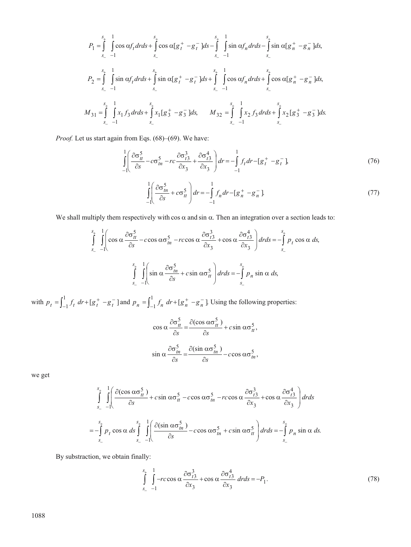$$
P_{1} = \int_{s_{-}}^{s_{+}} \int_{s_{-}}^{1} \cos \alpha f_{t} dr ds + \int_{s_{-}}^{s_{+}} \cos \alpha [g_{t}^{+} - g_{t}^{-}] ds - \int_{s_{-}}^{s_{+}} \int_{s_{-}}^{1} \sin \alpha f_{n} dr ds - \int_{s_{-}}^{s_{+}} \sin \alpha [g_{n}^{+} - g_{n}^{-}] ds,
$$
  
\n
$$
P_{2} = \int_{s_{-}}^{s_{+}} \int_{s_{-}}^{1} \sin \alpha f_{t} dr ds + \int_{s_{-}}^{s_{+}} \sin \alpha [g_{t}^{+} - g_{t}^{-}] ds + \int_{s_{-}}^{s_{+}} \int_{s_{-}}^{1} \cos \alpha f_{n} dr ds + \int_{s_{-}}^{s_{+}} \cos \alpha [g_{n}^{+} - g_{n}^{-}] ds,
$$
  
\n
$$
M_{31} = \int_{s_{-}}^{s_{+}} \int_{s_{-}}^{1} x_{1} f_{3} dr ds + \int_{s_{-}}^{s_{+}} x_{1} [g_{3}^{+} - g_{3}^{-}] ds, \qquad M_{32} = \int_{s_{-}}^{s_{+}} \int_{s_{-}}^{1} x_{2} f_{3} dr ds + \int_{s_{-}}^{s_{+}} x_{2} [g_{3}^{+} - g_{3}^{-}] ds.
$$

*Proof.* Let us start again from Eqs. (68)–(69). We have:

$$
\int_{-1}^{1} \left( \frac{\partial \sigma_u^5}{\partial s} - c \sigma_m^5 - rc \frac{\partial \sigma_{t3}^3}{\partial x_3} + \frac{\partial \sigma_{t3}^4}{\partial x_3} \right) dr = -\int_{-1}^{1} f_t dr - [g_t^+ - g_t^-] \tag{76}
$$
\n
$$
\int_{-1}^{1} \left( \frac{\partial \sigma_m^5}{\partial s} + c \sigma_u^5 \right) dr = -\int_{-1}^{1} f_n dr - [g_n^+ - g_n^-] \tag{77}
$$

We shall multiply them respectively with cos  $\alpha$  and sin  $\alpha$ . Then an integration over a section leads to:

J

 $1 \qquad -1$ 

$$
\int_{s_{-}}^{s_{+}} \int_{-1}^{1} \left( \cos \alpha \frac{\partial \sigma_{tt}^{5}}{\partial s} - c \cos \alpha \sigma_{tn}^{5} - r \cos \alpha \frac{\partial \sigma_{t3}^{3}}{\partial x_{3}} + \cos \alpha \frac{\partial \sigma_{t3}^{4}}{\partial x_{3}} \right) dr ds = -\int_{s_{-}}^{s_{+}} p_{t} \cos \alpha ds,
$$
  

$$
\int_{s_{-}}^{s_{+}} \int_{-1}^{1} \left( \sin \alpha \frac{\partial \sigma_{tn}^{5}}{\partial s} + c \sin \alpha \sigma_{tt}^{5} \right) dr ds = -\int_{s_{-}}^{s_{+}} p_{n} \sin \alpha ds,
$$

with  $p_t = \int_{-1}^{1} f_t dr + [g_t^+ - g_t^-]$  and  $p_n = \int_{-1}^{1} f_n dr + [g_n^+ - g_n^-]$ . Using the following properties:

l

$$
\cos \alpha \frac{\partial \sigma_h^5}{\partial s} = \frac{\partial (\cos \alpha \sigma_h^5)}{\partial s} + c \sin \alpha \sigma_h^5,
$$
  

$$
\sin \alpha \frac{\partial \sigma_h^5}{\partial s} = \frac{\partial (\sin \alpha \sigma_h^5)}{\partial s} - c \cos \alpha \sigma_h^5,
$$

we get

$$
\int_{s_{-}}^{s_{+}} \int_{-1}^{1} \left( \frac{\partial(\cos \alpha \sigma_{tt}^{5})}{\partial s} + c \sin \alpha \sigma_{tt}^{5} - c \cos \alpha \sigma_{tn}^{5} - r \cos \alpha \frac{\partial \sigma_{t3}^{3}}{\partial x_{3}} + \cos \alpha \frac{\partial \sigma_{t3}^{4}}{\partial x_{3}} \right) dr ds
$$
  
=  $-\int_{s_{-}}^{s_{+}} p_{t} \cos \alpha \ ds \int_{s_{-}}^{s_{+}} \int_{-1}^{1} \left( \frac{\partial(\sin \alpha \sigma_{tn}^{5})}{\partial s} - c \cos \alpha \sigma_{tn}^{5} + c \sin \alpha \sigma_{tt}^{5} \right) dr ds = -\int_{s_{-}}^{s_{+}} p_{n} \sin \alpha \ ds.$ 

By substraction, we obtain finally:

$$
\int_{s_{-}}^{s_{+}} \int_{-1}^{1} -rc\cos\alpha \frac{\partial \sigma_{t3}^{3}}{\partial x_{3}} + \cos\alpha \frac{\partial \sigma_{t3}^{4}}{\partial x_{3}} dr ds = -P_{1}.
$$
\n(78)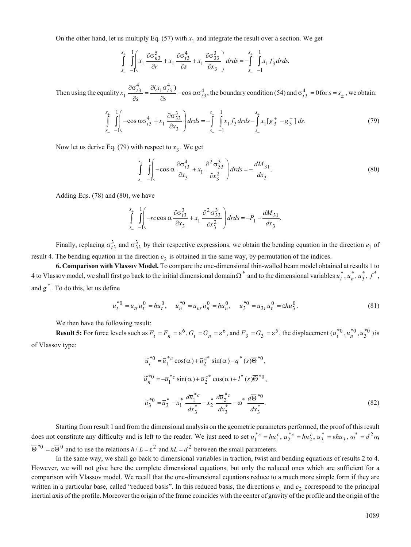On the other hand, let us multiply Eq.  $(57)$  with  $x_1$  and integrate the result over a section. We get

$$
\int_{s_-}^{s_+} \int_{-1}^{1} \left( x_1 \frac{\partial \sigma_{n3}^5}{\partial r} + x_1 \frac{\partial \sigma_{n3}^4}{\partial s} + x_1 \frac{\partial \sigma_{33}^3}{\partial x_3} \right) dr ds = -\int_{s_-}^{s_+} \int_{-1}^{1} x_1 f_3 dr ds.
$$

Then using the equality *x s x s*  $\frac{\partial \sigma_{t3}^4}{\partial s} = \frac{\partial (x_1 \sigma_{t3}^4)}{\partial s}$  - cos  $\alpha \sigma_t^4$  $\frac{\partial \sigma_{t3}^4}{\partial s} = \frac{\partial (x_1 \sigma_{t3}^4)}{\partial s}$  - cos  $\alpha \sigma_{t3}^4$ , the boundary condition (54) and  $\sigma_{t3}^4 = 0$  for  $s = s_{\pm}$ , we obtain:

$$
\int_{s_{-}}^{s_{+}} \int_{-}^{1} \left( -\cos \alpha \sigma_{t3}^{4} + x_{1} \frac{\partial \sigma_{33}^{3}}{\partial x_{3}} \right) dr ds = -\int_{s_{-}}^{s_{+}} \int_{-}^{1} x_{1} f_{3} dr ds - \int_{s_{-}}^{s_{+}} x_{1} [g_{3}^{+} - g_{3}^{-}] ds. \tag{79}
$$

Now let us derive Eq. (79) with respect to  $x_3$ . We get

$$
\int_{s_{-}}^{s_{+}} \int_{-1}^{1} \left( -\cos \alpha \frac{\partial \sigma_{t3}^{4}}{\partial x_{3}} + x_{1} \frac{\partial^{2} \sigma_{33}^{3}}{\partial x_{3}^{2}} \right) dr ds = -\frac{dM_{31}}{dx_{3}}.
$$
\n(80)

Adding Eqs. (78) and (80), we have

$$
\int_{s_-}^{s_+} \int_{-1}^{1} \left( -rc \cos \alpha \frac{\partial \sigma_{t3}^3}{\partial x_3} + x_1 \frac{\partial^2 \sigma_{33}^3}{\partial x_3^2} \right) dr ds = -P_1 - \frac{dM_{31}}{dx_3}.
$$

Finally, replacing  $\sigma_{t3}^3$  and  $\sigma_{33}^3$  by their respective expressions, we obtain the bending equation in the direction  $e_1$  of result 4. The bending equation in the direction  $e_2$  is obtained in the same way, by permutation of the indices.

**6. Comparison with Vlassov Model.** To compare the one-dimensional thin-walled beam model obtained at results 1 to 4 to Vlassov model, we shall first go back to the initial dimensional domain  $\Omega^*$  and to the dimensional variables  $u_t^*$ ,  $u_n^*$ ,  $u_3^*$ ,  $f^*$ , and  $g^*$ . To do this, let us define

$$
u_t^{*0} = u_{tt} u_t^0 = h u_t^0, \quad u_n^{*0} = u_{tt} u_n^0 = h u_n^0, \quad u_3^{*0} = u_{3t} u_t^0 = \varepsilon h u_3^0. \tag{81}
$$

We then have the following result:

**Result 5:** For force levels such as  $F_t = F_n = \varepsilon^6$ ,  $G_t = G_n = \varepsilon^6$ , and  $F_3 = G_3 = \varepsilon^5$ , the displacement  $(u_t^{*0}, u_n^{*0}, u_3^{*0})$  is of Vlassov type:

$$
\widetilde{u}_{t}^{*0} = \overline{u}_{1}^{*c} \cos(\alpha) + \overline{u}_{2}^{c*} \sin(\alpha) - q^{*}(s) \overline{\Theta}^{*0},
$$
  
\n
$$
\widetilde{u}_{n}^{*0} = -\overline{u}_{1}^{*c} \sin(\alpha) + \overline{u}_{2}^{c*} \cos(\alpha) + l^{*}(s) \overline{\Theta}^{*0},
$$
  
\n
$$
\widetilde{u}_{3}^{*0} = \overline{u}_{3}^{*} - x_{1}^{*} \frac{d\overline{u}_{1}^{*c}}{dx_{3}^{*}} - x_{2}^{*} \frac{d\overline{u}_{2}^{*c}}{dx_{3}^{*}} - \omega^{*} \frac{d\overline{\Theta}^{*0}}{dx_{3}^{*}}.
$$
\n(82)

Starting from result 1 and from the dimensional analysis on the geometric parameters performed, the proof of this result does not constitute any difficulty and is left to the reader. We just need to set  $\overline{u}_1^*{}^c = h\overline{u}_1^c$ ,  $\overline{u}_2^*{}^c = h\overline{u}_2^c$ ,  $\overline{u}_3^* = \varepsilon h\overline{u}_3$ ,  $\omega^* = d^2\omega$ ,  $\overline{\Theta}^{*0} = \varepsilon \overline{\Theta}^{0}$  and to use the relations  $h/L = \varepsilon^2$  and  $hL = d^2$  between the small parameters.

In the same way, we shall go back to dimensional variables in traction, twist and bending equations of results 2 to 4. However, we will not give here the complete dimensional equations, but only the reduced ones which are sufficient for a comparison with Vlassov model. We recall that the one-dimensional equations reduce to a much more simple form if they are written in a particular base, called "reduced basis". In this reduced basis, the directions  $e_1$  and  $e_2$  correspond to the principal inertial axis of the profile. Moreover the origin of the frame coincides with the center of gravity of the profile and the origin of the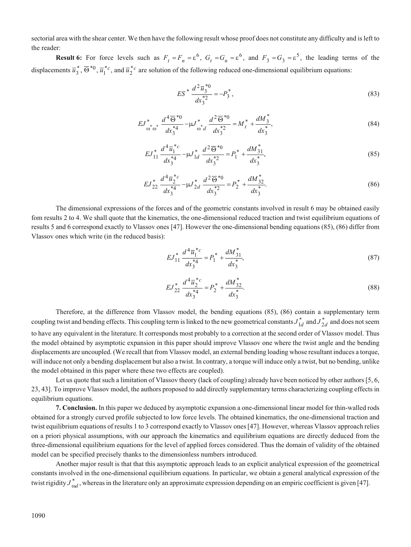sectorial area with the shear center. We then have the following result whose proof does not constitute any difficulty and is left to the reader:

**Result 6:** For force levels such as  $F_t = F_n = \varepsilon^6$ ,  $G_t = G_n = \varepsilon^6$ , and  $F_3 = G_3 = \varepsilon^5$ , the leading terms of the displacements  $\overline{u}_3^*, \overline{\Theta}^{*0}, \overline{u}_1^{*c}$ , and  $\overline{u}_2^{*c}$  are solution of the following reduced one-dimensional equilibrium equations:

$$
ES^* \frac{d^2 \overline{u}_3^{*0}}{dx_3^{*2}} = -P_3^*,\tag{83}
$$

$$
EJ_{\omega_{\omega_{\omega}}^{*}}^{*} \frac{d^{4}\overline{\Theta}^{*0}}{dx_{3}^{*4}} - \mu J_{\omega_{d}}^{*} \frac{d^{2}\overline{\Theta}^{*0}}{dx_{3}^{*2}} = M_{t}^{*} + \frac{dM_{3}^{*}}{dx_{3}^{*}},
$$
\n(84)

$$
EJ_{11}^* \frac{d^4 \overline{u}_1^{*c}}{dx_3^{*4}} - \mu J_{1d}^* \frac{d^2 \overline{\Theta}^{*0}}{dx_3^{*2}} = P_1^* + \frac{dM_{31}^*}{dx_3^*},
$$
\n(85)

$$
EJ_{22}^* \frac{d^4 \bar{u}_2^{*c}}{dx_3^{*4}} - \mu J_{2d}^* \frac{d^2 \bar{\Theta}^{*0}}{dx_3^{*2}} = P_2^* + \frac{dM_{32}^*}{dx_3^*}.
$$
\n(86)

The dimensional expressions of the forces and of the geometric constants involved in result 6 may be obtained easily fom results 2 to 4. We shall quote that the kinematics, the one-dimensional reduced traction and twist equilibrium equations of results 5 and 6 correspond exactly to Vlassov ones [47]. However the one-dimensional bending equations (85), (86) differ from Vlassov ones which write (in the reduced basis):

$$
EJ_{11}^* \frac{d^4 \overline{u}_1^{*c}}{dx_3^{*4}} = P_1^* + \frac{dM_{31}^*}{dx_3^*},
$$
\n(87)

$$
EJ_{22}^* \frac{d^4 \overline{u}_2^{*c}}{dx_3^{*4}} = P_2^* + \frac{dM_{32}^*}{dx_3^*}.
$$
\n(88)

Therefore, at the difference from Vlassov model, the bending equations (85), (86) contain a supplementary term coupling twist and bending effects. This coupling term is linked to the new geometrical constants  $J_{1d}^*$  and  $J_{2d}^*$  and does not seem to have any equivalent in the literature. It corresponds most probably to a correction at the second order of Vlassov model. Thus the model obtained by asymptotic expansion in this paper should improve Vlassov one where the twist angle and the bending displacements are uncoupled. (We recall that from Vlassov model, an external bending loading whose resultant induces a torque, will induce not only a bending displacement but also a twist. In contrary, a torque will induce only a twist, but no bending, unlike the model obtained in this paper where these two effects are coupled).

Let us quote that such a limitation of Vlassov theory (lack of coupling) already have been noticed by other authors [5, 6, 23, 43]. To improve Vlassov model, the authors proposed to add directly supplementary terms characterizing coupling effects in equilibrium equations.

**7. Conclusion.** In this paper we deduced by asymptotic expansion a one-dimensional linear model for thin-walled rods obtained for a strongly curved profile subjected to low force levels. The obtained kinematics, the one-dimensional traction and twist equilibrium equations of results 1 to 3 correspond exactly to Vlassov ones [47]. However, whereas Vlassov approach relies on a priori physical assumptions, with our approach the kinematics and equilibrium equations are directly deduced from the three-dimensional equilibrium equations for the level of applied forces considered. Thus the domain of validity of the obtained model can be specified precisely thanks to the dimensionless numbers introduced.

Another major result is that that this asymptotic approach leads to an explicit analytical expression of the geometrical constants involved in the one-dimensional equilibrium equations. In particular, we obtain a general analytical expression of the twist rigidity  $J^*_{\alpha d}$  , whereas in the literature only an approximate expression depending on an empiric coefficient is given [47].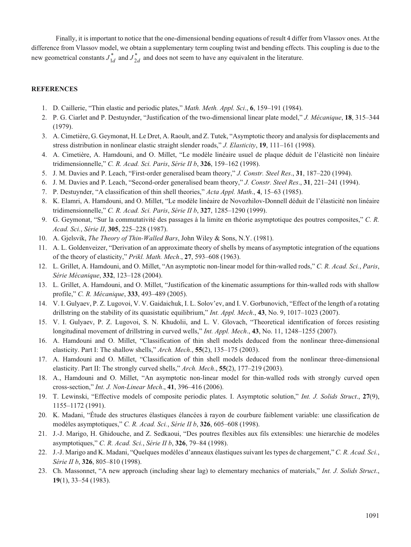Finally, it is important to notice that the one-dimensional bending equations of result 4 differ from Vlassov ones. At the difference from Vlassov model, we obtain a supplementary term coupling twist and bending effects. This coupling is due to the new geometrical constants  $J_{1d}^*$  and  $J_{2d}^*$  and does not seem to have any equivalent in the literature.

## **REFERENCES**

- 1. D. Caillerie, "Thin elastic and periodic plates," *Math. Meth. Appl. Sci*., **6**, 159–191 (1984).
- 2. P. G. Ciarlet and P. Destuynder, "Justification of the two-dimensional linear plate model," *J. Mécanique*, **18**, 315–344 (1979).
- 3. A. Cimetière, G. Geymonat, H. Le Dret, A. Raoult, and Z. Tutek, "Asymptotic theory and analysis for displacements and stress distribution in nonlinear elastic straight slender roads," *J. Elasticity*, **19**, 111–161 (1998).
- 4. A. Cimetière, A. Hamdouni, and O. Millet, "Le modèle linéaire usuel de plaque déduit de l'élasticité non linéaire tridimensionnelle," *C. R. Acad. Sci. Paris*, *Série II b*, **326**, 159–162 (1998).
- 5. J. M. Davies and P. Leach, "First-order generalised beam theory," *J. Constr. Steel Res*., **31**, 187–220 (1994).
- 6. J. M. Davies and P. Leach, "Second-order generalised beam theory," *J. Constr. Steel Res*., **31**, 221–241 (1994).
- 7. P. Destuynder, "A classification of thin shell theories," *Acta Appl. Math*., **4**, 15–63 (1985).
- 8. K. Elamri, A. Hamdouni, and O. Millet, "Le modèle linéaire de Novozhilov-Donnell déduit de l'élasticité non linéaire tridimensionnelle," *C. R. Acad. Sci. Paris*, *Série II b*, **327**, 1285–1290 (1999).
- 9. G. Geymonat, "Sur la commutativité des passages à la limite en théorie asymptotique des poutres composites," *C. R. Acad. Sci.*, *Série II*, **305**, 225–228 (1987).
- 10. A. Gjelsvik, *The Theory of Thin-Walled Bars*, John Wiley & Sons, N.Y. (1981).
- 11. A. L. Goldenveizer, "Derivation of an approximate theory of shells by means of asymptotic integration of the equations of the theory of elasticity," *Prikl. Math. Mech*., **27**, 593–608 (1963).
- 12. L. Grillet, A. Hamdouni, and O. Millet, "An asymptotic non-linear model for thin-walled rods," *C. R. Acad. Sci.*, *Paris*, *Série Mécanique*, **332**, 123–128 (2004).
- 13. L. Grillet, A. Hamdouni, and O. Millet, "Justification of the kinematic assumptions for thin-walled rods with shallow profile," *C. R. Mécanique*, **333**, 493–489 (2005).
- 14. V. I. Gulyaev, P. Z. Lugovoi, V. V. Gaidaichuk, I. L. Solov'ev, and I. V. Gorbunovich, "Effect of the length of a rotating drillstring on the stability of its quasistatic equilibrium," *Int. Appl. Mech*., **43**, No. 9, 1017–1023 (2007).
- 15. V. I. Gulyaev, P. Z. Lugovoi, S. N. Khudolii, and L. V. Glovach, "Theoretical identification of forces resisting longitudinal movement of drillstring in curved wells," *Int. Appl. Mech*., **43**, No. 11, 1248–1255 (2007).
- 16. A. Hamdouni and O. Millet, "Classification of thin shell models deduced from the nonlinear three-dimensional elasticity. Part I: The shallow shells," *Arch. Mech*., **55**(2), 135–175 (2003).
- 17. A. Hamdouni and O. Millet, "Classification of thin shell models deduced from the nonlinear three-dimensional elasticity. Part II: The strongly curved shells," *Arch. Mech*., **55**(2), 177–219 (2003).
- 18. A., Hamdouni and O. Millet, "An asymptotic non-linear model for thin-walled rods with strongly curved open cross-section," *Int. J. Non-Linear Mech*., **41**, 396–416 (2006).
- 19. T. Lewinski, "Effective models of composite periodic plates. I. Asymptotic solution," *Int. J. Solids Struct*., **27**(9), 1155–1172 (1991).
- 20. K. Madani, "Étude des structures élastiques élancées à rayon de courbure faiblement variable: une classification de modèles asymptotiques," *C. R. Acad. Sci.*, *Série II b*, **326**, 605–608 (1998).
- 21. J.-J. Marigo, H. Ghidouche, and Z. Sedkaoui, "Des poutres flexibles aux fils extensibles: une hierarchie de modèles asymptotiques," *C. R. Acad. Sci.*, *Série II b*, **326**, 79–84 (1998).
- 22. J.-J. Marigo and K. Madani, "Quelques modèles d'anneaux élastiques suivant les types de chargement," *C. R. Acad. Sci.*, *Série II b*, **326**, 805–810 (1998).
- 23. Ch. Massonnet, "A new approach (including shear lag) to elementary mechanics of materials," *Int. J. Solids Struct*., **19**(1), 33–54 (1983).